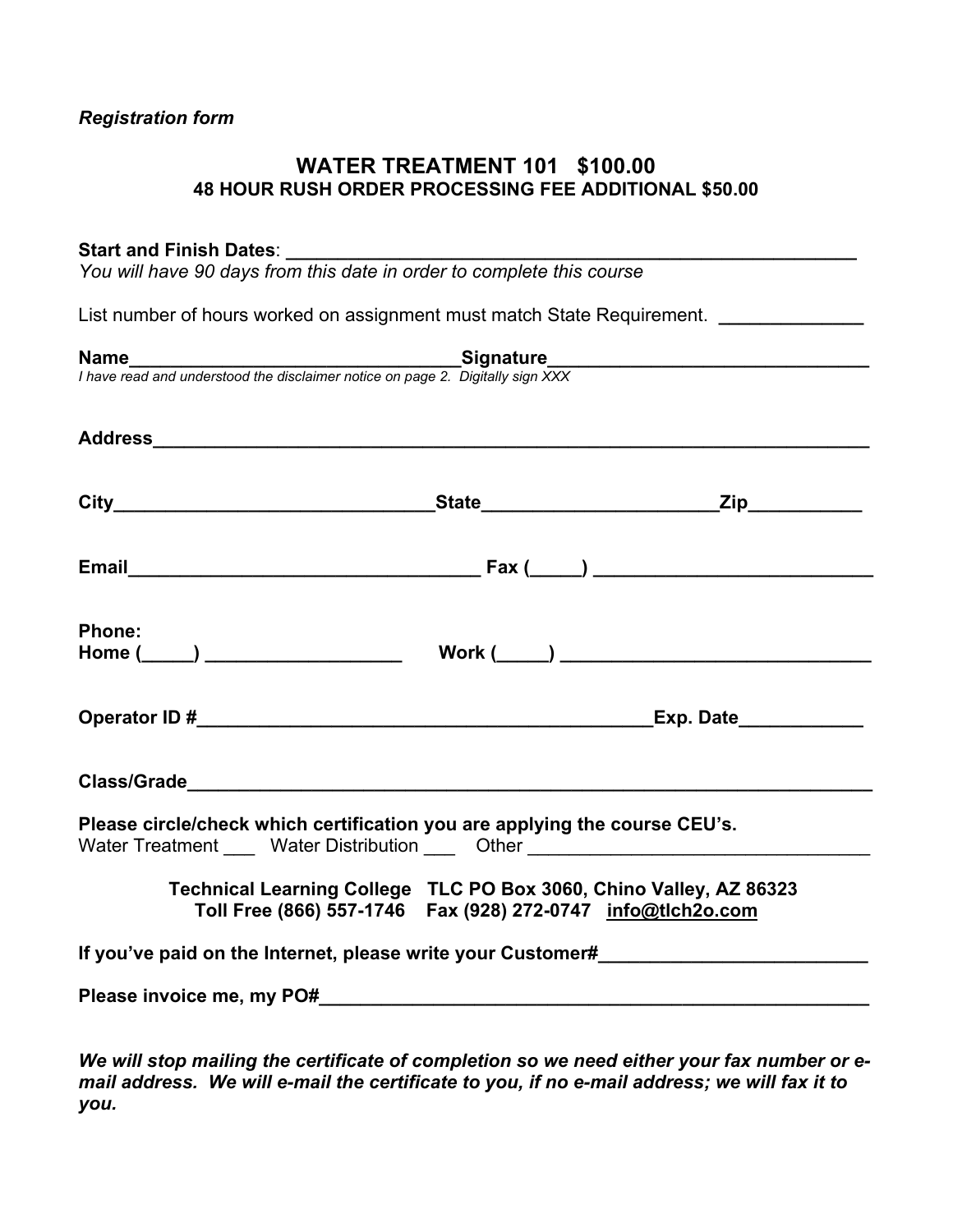# *Registration form*

# **WATER TREATMENT 101 \$100.00 48 HOUR RUSH ORDER PROCESSING FEE ADDITIONAL \$50.00**

## Start and Finish Dates:

*You will have 90 days from this date in order to complete this course* 

List number of hours worked on assignment must match State Requirement. *\_\_\_\_\_\_\_\_\_\_\_\_* 

| <b>Phone:</b> |                                                                                                                                                                |  |
|---------------|----------------------------------------------------------------------------------------------------------------------------------------------------------------|--|
|               |                                                                                                                                                                |  |
|               |                                                                                                                                                                |  |
|               | Please circle/check which certification you are applying the course CEU's.<br>Water Treatment ____ Water Distribution ____ Other _____________________________ |  |
|               | Technical Learning College TLC PO Box 3060, Chino Valley, AZ 86323<br>Toll Free (866) 557-1746  Fax (928) 272-0747  info@tlch2o.com                            |  |
|               | If you've paid on the Internet, please write your Customer#_____________________                                                                               |  |
|               |                                                                                                                                                                |  |
|               |                                                                                                                                                                |  |

*We will stop mailing the certificate of completion so we need either your fax number or email address. We will e-mail the certificate to you, if no e-mail address; we will fax it to you.*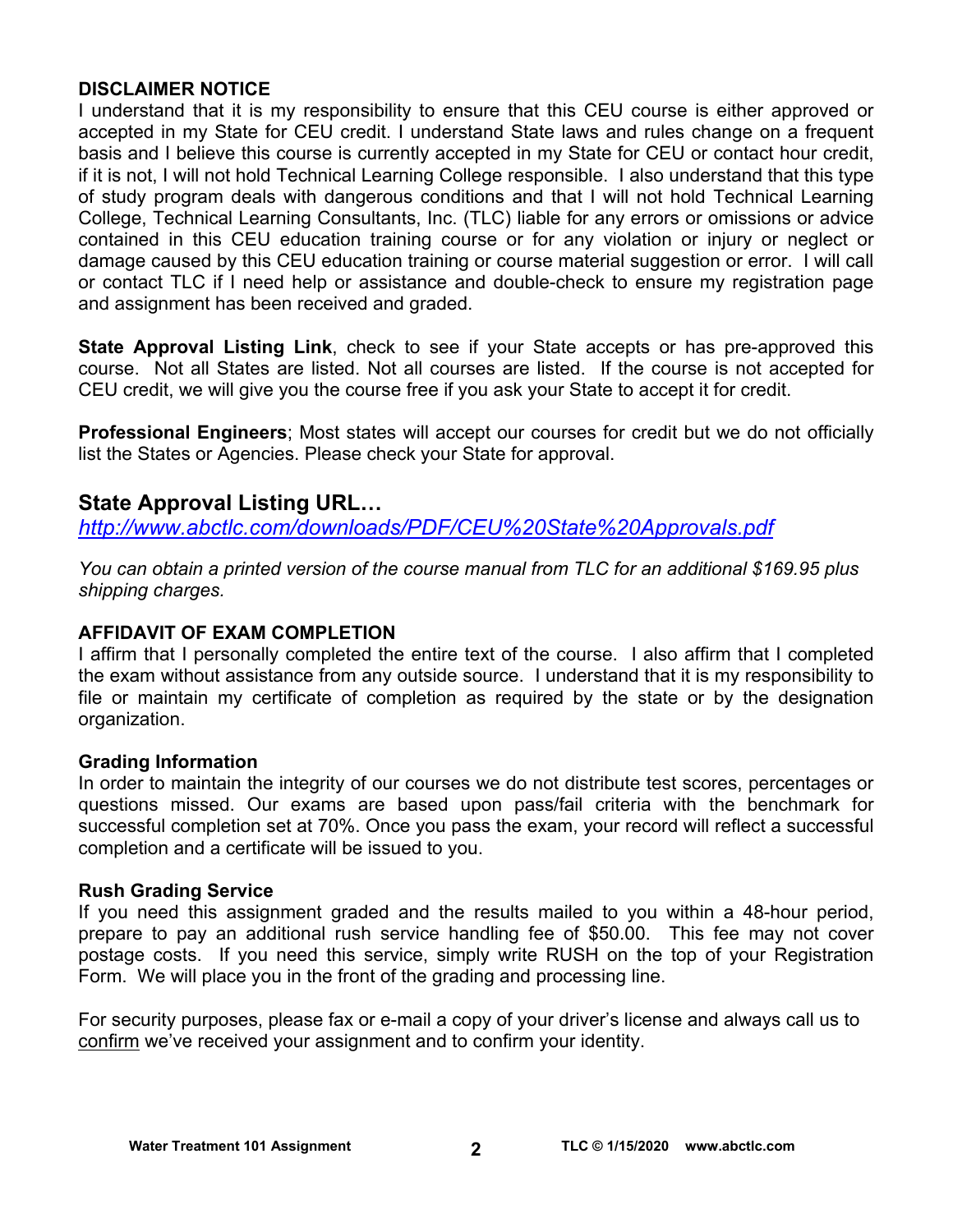# **DISCLAIMER NOTICE**

I understand that it is my responsibility to ensure that this CEU course is either approved or accepted in my State for CEU credit. I understand State laws and rules change on a frequent basis and I believe this course is currently accepted in my State for CEU or contact hour credit, if it is not, I will not hold Technical Learning College responsible. I also understand that this type of study program deals with dangerous conditions and that I will not hold Technical Learning College, Technical Learning Consultants, Inc. (TLC) liable for any errors or omissions or advice contained in this CEU education training course or for any violation or injury or neglect or damage caused by this CEU education training or course material suggestion or error. I will call or contact TLC if I need help or assistance and double-check to ensure my registration page and assignment has been received and graded.

**State Approval Listing Link**, check to see if your State accepts or has pre-approved this course. Not all States are listed. Not all courses are listed. If the course is not accepted for CEU credit, we will give you the course free if you ask your State to accept it for credit.

**Professional Engineers**; Most states will accept our courses for credit but we do not officially list the States or Agencies. Please check your State for approval.

# **State Approval Listing URL…**

*<http://www.abctlc.com/downloads/PDF/CEU%20State%20Approvals.pdf>*

*You can obtain a printed version of the course manual from TLC for an additional \$169.95 plus shipping charges.* 

# **AFFIDAVIT OF EXAM COMPLETION**

I affirm that I personally completed the entire text of the course. I also affirm that I completed the exam without assistance from any outside source. I understand that it is my responsibility to file or maintain my certificate of completion as required by the state or by the designation organization.

# **Grading Information**

In order to maintain the integrity of our courses we do not distribute test scores, percentages or questions missed. Our exams are based upon pass/fail criteria with the benchmark for successful completion set at 70%. Once you pass the exam, your record will reflect a successful completion and a certificate will be issued to you.

# **Rush Grading Service**

If you need this assignment graded and the results mailed to you within a 48-hour period, prepare to pay an additional rush service handling fee of \$50.00. This fee may not cover postage costs. If you need this service, simply write RUSH on the top of your Registration Form. We will place you in the front of the grading and processing line.

For security purposes, please fax or e-mail a copy of your driver's license and always call us to confirm we've received your assignment and to confirm your identity.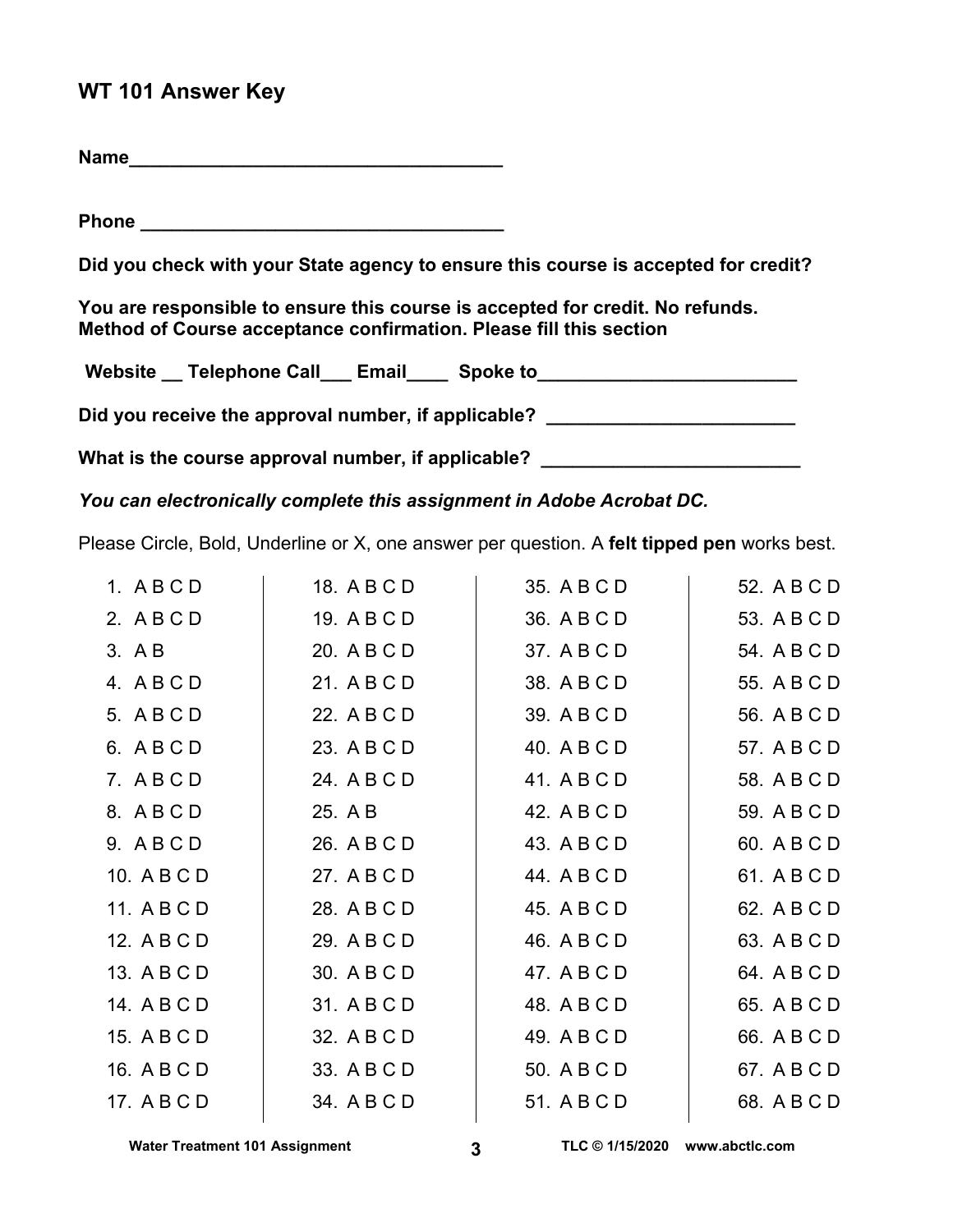# **WT 101 Answer Key**

**Name** 

**Phone**  $\blacksquare$ 

**Did you check with your State agency to ensure this course is accepted for credit?** 

**You are responsible to ensure this course is accepted for credit. No refunds. Method of Course acceptance confirmation. Please fill this section** 

Website Telephone Call Email Spoke to Did you receive the approval number, if applicable? \_\_\_\_\_\_\_\_\_\_\_\_\_\_\_\_\_\_\_\_\_\_\_\_\_\_\_\_

What is the course approval number, if applicable? \_\_\_\_\_\_\_\_\_\_\_\_\_\_\_\_\_\_\_\_\_\_\_\_\_\_\_\_\_

*You can electronically complete this assignment in Adobe Acrobat DC.* 

Please Circle, Bold, Underline or X, one answer per question. A **felt tipped pen** works best.

| 1. ABCD     | 18. A B C D | 35. A B C D | 52. A B C D |
|-------------|-------------|-------------|-------------|
| 2. ABCD     | 19. A B C D | 36. A B C D | 53. A B C D |
| 3. A B      | 20. A B C D | 37. A B C D | 54. A B C D |
| 4. ABCD     | 21. A B C D | 38. A B C D | 55. A B C D |
| 5. ABCD     | 22. A B C D | 39. A B C D | 56. A B C D |
| 6. ABCD     | 23. A B C D | 40. A B C D | 57. A B C D |
| 7. ABCD     | 24. A B C D | 41. A B C D | 58. A B C D |
| 8. ABCD     | 25. A B     | 42. A B C D | 59. A B C D |
| 9. A B C D  | 26. A B C D | 43. A B C D | 60. A B C D |
| 10. A B C D | 27. A B C D | 44. A B C D | 61. A B C D |
| 11. A B C D | 28. A B C D | 45. A B C D | 62. A B C D |
| 12. A B C D | 29. A B C D | 46. A B C D | 63. A B C D |
| 13. A B C D | 30. A B C D | 47. A B C D | 64. A B C D |
| 14. A B C D | 31. A B C D | 48. A B C D | 65. A B C D |
| 15. A B C D | 32. A B C D | 49. A B C D | 66. A B C D |
| 16. A B C D | 33. A B C D | 50. A B C D | 67. A B C D |
| 17. A B C D | 34. A B C D | 51. A B C D | 68. A B C D |

Water Treatment 101 Assignment **3 TLC © 1/15/2020** www.abctlc.com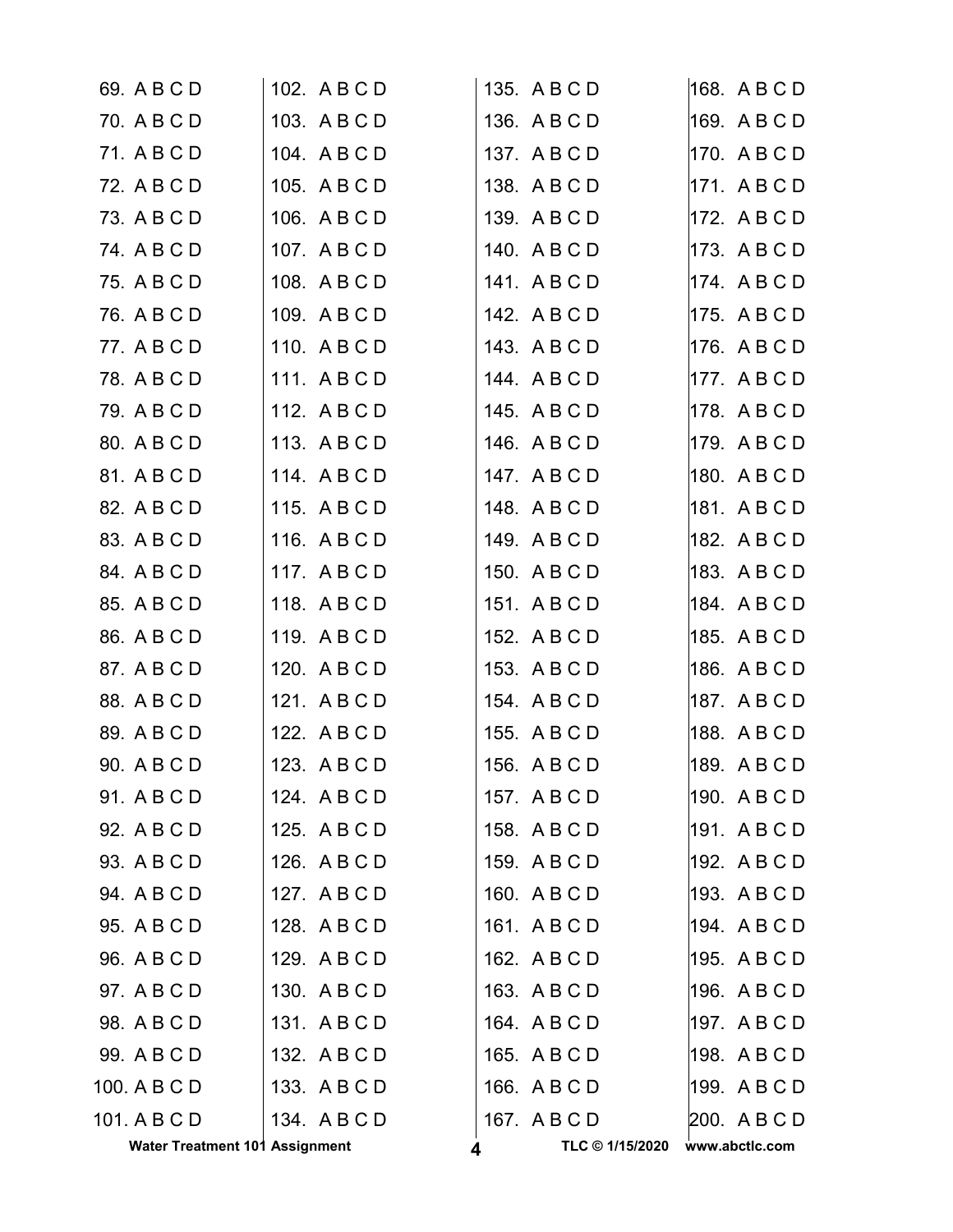| <b>Water Treatment 101 Assignment</b> |              | TLC © 1/15/2020 | www.abctlc.com |
|---------------------------------------|--------------|-----------------|----------------|
| 101. A B C D                          | 134. ABCD    | 167. A B C D    | 200. A B C D   |
| 100. A B C D                          | 133. ABCD    | 166. A B C D    | 199. ABCD      |
| 99. A B C D                           | 132. A B C D | 165. A B C D    | 198. A B C D   |
| 98. A B C D                           | 131. ABCD    | 164. A B C D    | 197. ABCD      |
| 97. A B C D                           | 130. ABCD    | 163. A B C D    | 196. A B C D   |
| 96. A B C D                           | 129. A B C D | 162. A B C D    | 195. A B C D   |
| 95. A B C D                           | 128. A B C D | 161. A B C D    | 194. ABCD      |
| 94. A B C D                           | 127. ABCD    | 160. A B C D    | 193. ABCD      |
| 93. A B C D                           | 126. A B C D | 159. ABCD       | 192. A B C D   |
| 92. A B C D                           | 125. A B C D | 158. A B C D    | 191. ABCD      |
| 91. A B C D                           | 124. A B C D | 157. A B C D    | 190. ABCD      |
| 90. A B C D                           | 123. A B C D | 156. A B C D    | 189. ABCD      |
| 89. A B C D                           | 122. A B C D | 155. A B C D    | 188. ABCD      |
| 88. A B C D                           | 121. ABCD    | 154. A B C D    | 187. ABCD      |
| 87. A B C D                           | 120. A B C D | 153. A B C D    | 186. ABCD      |
| 86. A B C D                           | 119. ABCD    | 152. A B C D    | 185. ABCD      |
| 85. A B C D                           | 118. ABCD    | 151. A B C D    | 184. ABCD      |
| 84. A B C D                           | 117. ABCD    | 150. A B C D    | 183. ABCD      |
| 83. A B C D                           | 116. A B C D | 149. A B C D    | 182. A B C D   |
| 82. A B C D                           | 115. A B C D | 148. A B C D    | 181. ABCD      |
| 81. A B C D                           | 114. ABCD    | 147. ABCD       | 180. ABCD      |
| 80. A B C D                           | 113. A B C D | 146. A B C D    | 179. ABCD      |
| 79. A B C D                           | 112. A B C D | 145. A B C D    | 178. ABCD      |
| 78. A B C D                           | 111. ABCD    | 144. A B C D    | 177. ABCD      |
| 77. A B C D                           | 110. A B C D | 143. A B C D    | 176. ABCD      |
| 76. A B C D                           | 109. A B C D | 142. A B C D    | 175. ABCD      |
| 75. A B C D                           | 108. A B C D | 141. A B C D    | 174. ABCD      |
| 74. A B C D                           | 107. A B C D | 140. A B C D    | 173. ABCD      |
| 73. A B C D                           | 106. A B C D | 139. A B C D    | 172. ABCD      |
| 72. A B C D                           | 105. A B C D | 138. A B C D    | 171. ABCD      |
| 71. A B C D                           | 104. A B C D | 137. A B C D    | 170. ABCD      |
| 70. A B C D                           | 103. ABCD    | 136. A B C D    | 169. ABCD      |
| 69. A B C D                           | 102. A B C D | 135. A B C D    | 168. A B C D   |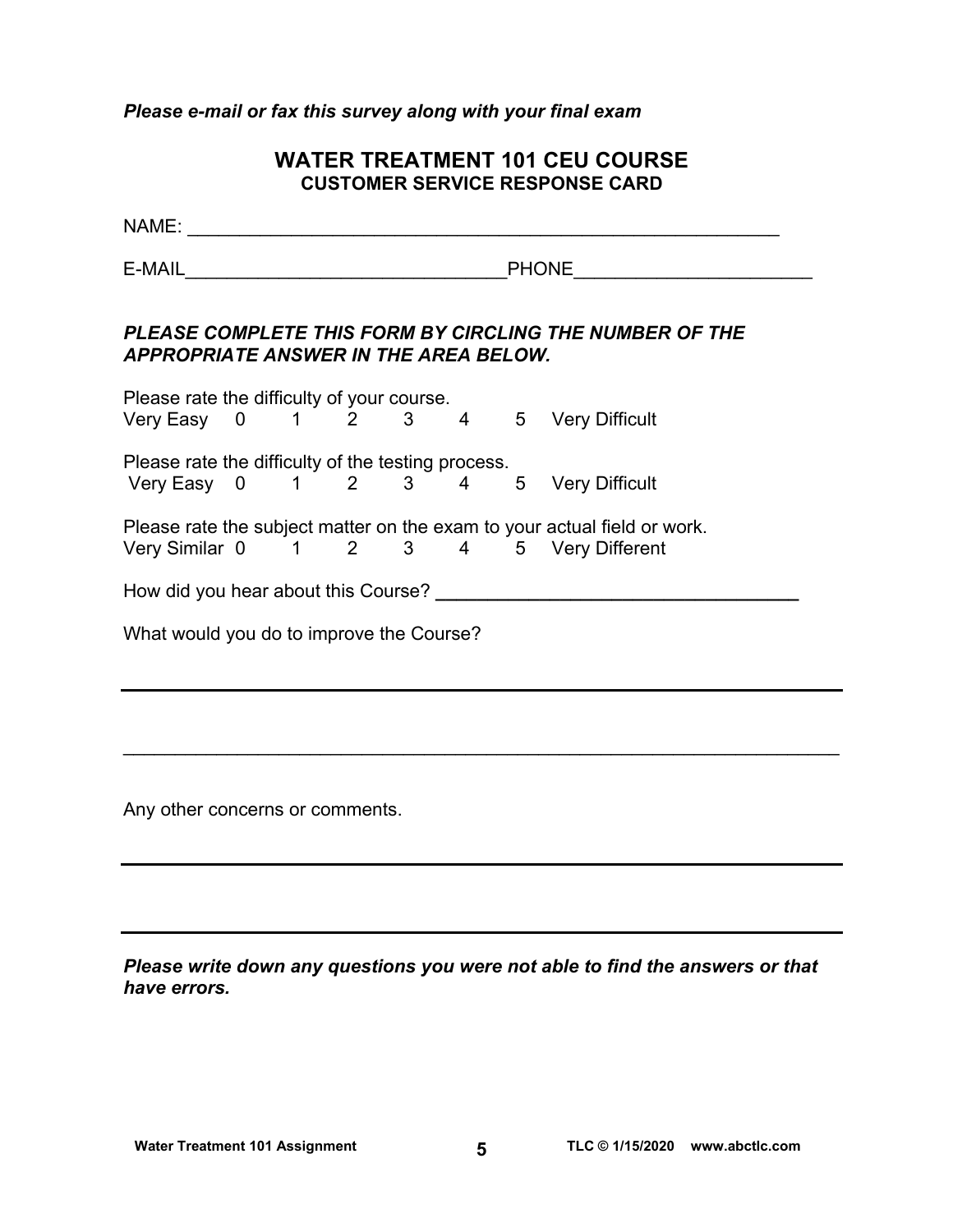## *Please e-mail or fax this survey along with your final exam*

# **WATER TREATMENT 101 CEU COURSE CUSTOMER SERVICE RESPONSE CARD**

NAME: \_\_\_\_\_\_\_\_\_\_\_\_\_\_\_\_\_\_\_\_\_\_\_\_\_\_\_\_\_\_\_\_\_\_\_\_\_\_\_\_\_\_\_\_\_\_\_\_\_\_\_\_\_\_\_\_\_ E-MAIL **E-MAIL E-MAIL** *PLEASE COMPLETE THIS FORM BY CIRCLING THE NUMBER OF THE APPROPRIATE ANSWER IN THE AREA BELOW.*  Please rate the difficulty of your course. Very Easy 0 1 2 3 4 5 Very Difficult Please rate the difficulty of the testing process. Very Easy 0 1 2 3 4 5 Very Difficult

Please rate the subject matter on the exam to your actual field or work. Very Similar 0 1 2 3 4 5 Very Different

How did you hear about this Course? **\_\_\_\_\_\_\_\_\_\_\_\_\_\_\_\_\_\_\_\_\_\_\_\_\_\_\_\_\_\_\_\_\_\_\_** 

What would you do to improve the Course?

Any other concerns or comments.

| Please write down any questions you were not able to find the answers or that |  |  |  |  |  |
|-------------------------------------------------------------------------------|--|--|--|--|--|
| have errors.                                                                  |  |  |  |  |  |

 $\mathcal{L}_\mathcal{L} = \mathcal{L}_\mathcal{L} = \mathcal{L}_\mathcal{L} = \mathcal{L}_\mathcal{L} = \mathcal{L}_\mathcal{L} = \mathcal{L}_\mathcal{L} = \mathcal{L}_\mathcal{L} = \mathcal{L}_\mathcal{L} = \mathcal{L}_\mathcal{L} = \mathcal{L}_\mathcal{L} = \mathcal{L}_\mathcal{L} = \mathcal{L}_\mathcal{L} = \mathcal{L}_\mathcal{L} = \mathcal{L}_\mathcal{L} = \mathcal{L}_\mathcal{L} = \mathcal{L}_\mathcal{L} = \mathcal{L}_\mathcal{L}$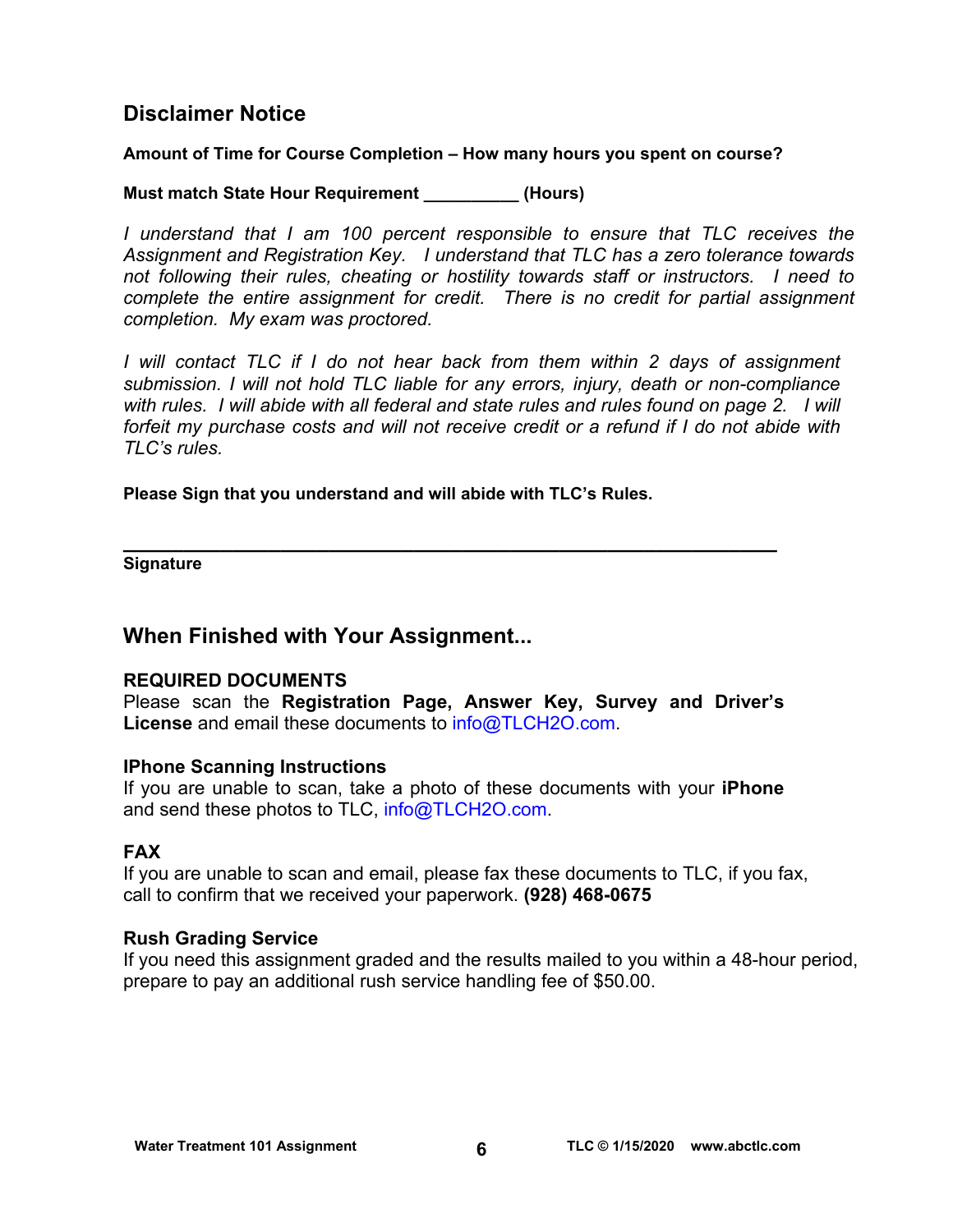# **Disclaimer Notice**

# **Amount of Time for Course Completion – How many hours you spent on course?**

# **Must match State Hour Requirement \_\_\_\_\_\_\_\_\_\_ (Hours)**

*I* understand that I am 100 percent responsible to ensure that TLC receives the *Assignment and Registration Key. I understand that TLC has a zero tolerance towards not following their rules, cheating or hostility towards staff or instructors. I need to complete the entire assignment for credit. There is no credit for partial assignment completion. My exam was proctored.* 

*I* will contact TLC if I do not hear back from them within 2 days of assignment *submission. I will not hold TLC liable for any errors, injury, death or non-compliance with rules. I will abide with all federal and state rules and rules found on page 2. I will forfeit my purchase costs and will not receive credit or a refund if I do not abide with TLC's rules.* 

**Please Sign that you understand and will abide with TLC's Rules.** 

**\_\_\_\_\_\_\_\_\_\_\_\_\_\_\_\_\_\_\_\_\_\_\_\_\_\_\_\_\_\_\_\_\_\_\_\_\_\_\_\_\_\_\_\_\_\_\_\_\_\_\_\_\_\_ Signature** 

# **When Finished with Your Assignment...**

# **REQUIRED DOCUMENTS**

Please scan the **Registration Page, Answer Key, Survey and Driver's License** and email these documents to [info@TLCH2O.com.](mailto:info@TLCH2O.com) 

# **IPhone Scanning Instructions**

If you are unable to scan, take a photo of these documents with your **iPhone** and send these photos to TLC, info@TLCH2O.com.

# **FAX**

If you are unable to scan and email, please fax these documents to TLC, if you fax, call to confirm that we received your paperwork. **(928) 468-0675** 

# **Rush Grading Service**

If you need this assignment graded and the results mailed to you within a 48-hour period, prepare to pay an additional rush service handling fee of \$50.00.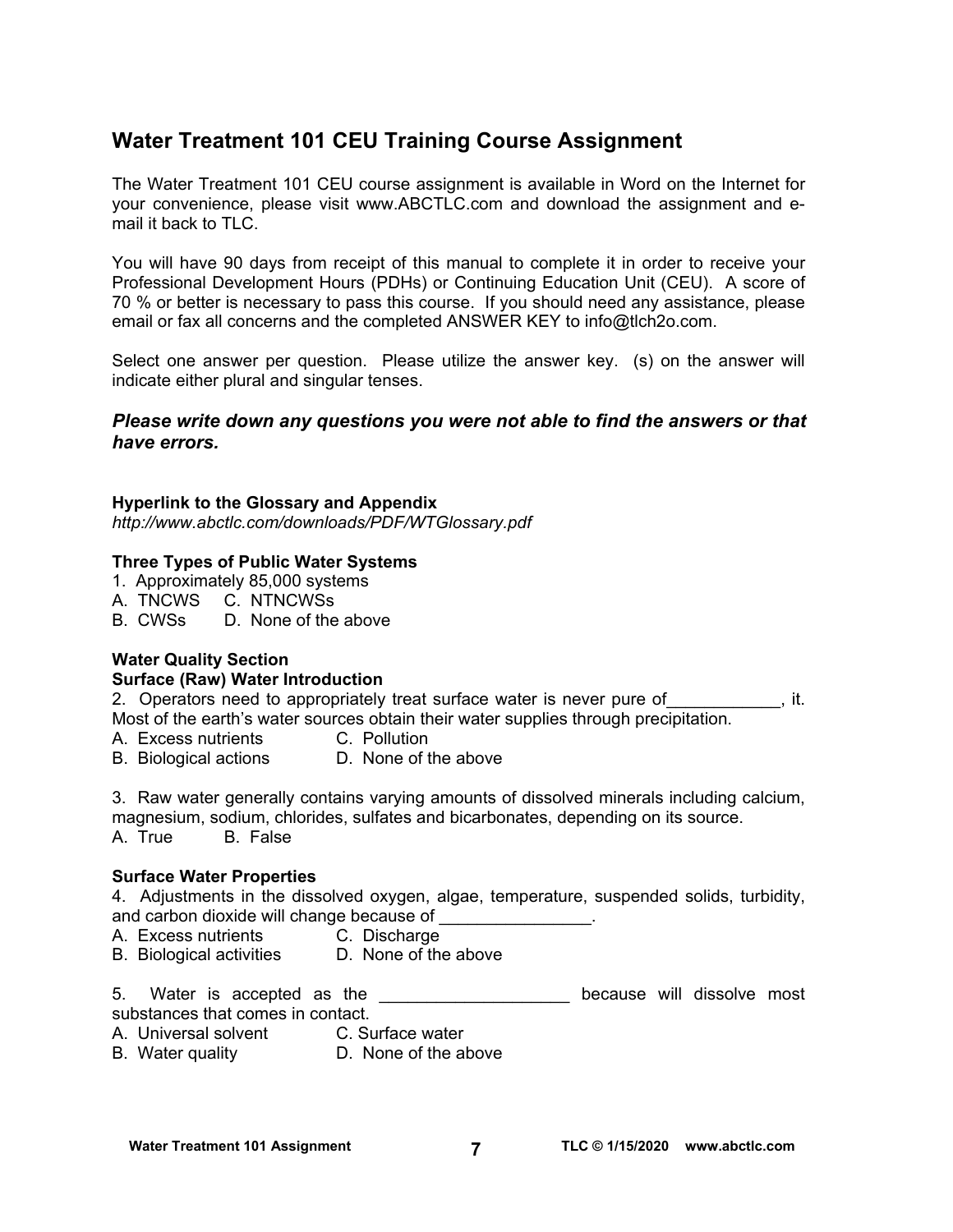# **Water Treatment 101 CEU Training Course Assignment**

The Water Treatment 101 CEU course assignment is available in Word on the Internet for your convenience, please visit [www.ABCTLC.com a](http://www.ABCTLC.com)nd download the assignment and email it back to TLC.

You will have 90 days from receipt of this manual to complete it in order to receive your Professional Development Hours (PDHs) or Continuing Education Unit (CEU). A score of 70 % or better is necessary to pass this course. If you should need any assistance, please email or fax all concerns and the completed ANSWER KEY to info@tlch2o.com.

Select one answer per question. Please utilize the answer key. (s) on the answer will indicate either plural and singular tenses.

## *Please write down any questions you were not able to find the answers or that have errors.*

#### **Hyperlink to the Glossary and Appendix**

*<http://www.abctlc.com/downloads/PDF/WTGlossary.pdf>*

#### **Three Types of Public Water Systems**

- 1. Approximately 85,000 systems
- A. TNCWS C. NTNCWSs
- B. CWSs D. None of the above

# **Water Quality Section**

#### **Surface (Raw) Water Introduction**

2. Operators need to appropriately treat surface water is never pure of  $\qquad \qquad$ , it. Most of the earth's water sources obtain their water supplies through precipitation.

- A. Excess nutrients C. Pollution
- B. Biological actions D. None of the above

3. Raw water generally contains varying amounts of dissolved minerals including calcium, magnesium, sodium, chlorides, sulfates and bicarbonates, depending on its source. A. True B. False

#### **Surface Water Properties**

4. Adjustments in the dissolved oxygen, algae, temperature, suspended solids, turbidity, and carbon dioxide will change because of

- A. Excess nutrients C. Discharge
- B. Biological activities D. None of the above

5. Water is accepted as the **Exercise 20 and the contract of the set of the because** will dissolve most substances that comes in contact.

- A. Universal solvent C. Surface water
- B. Water quality **D.** None of the above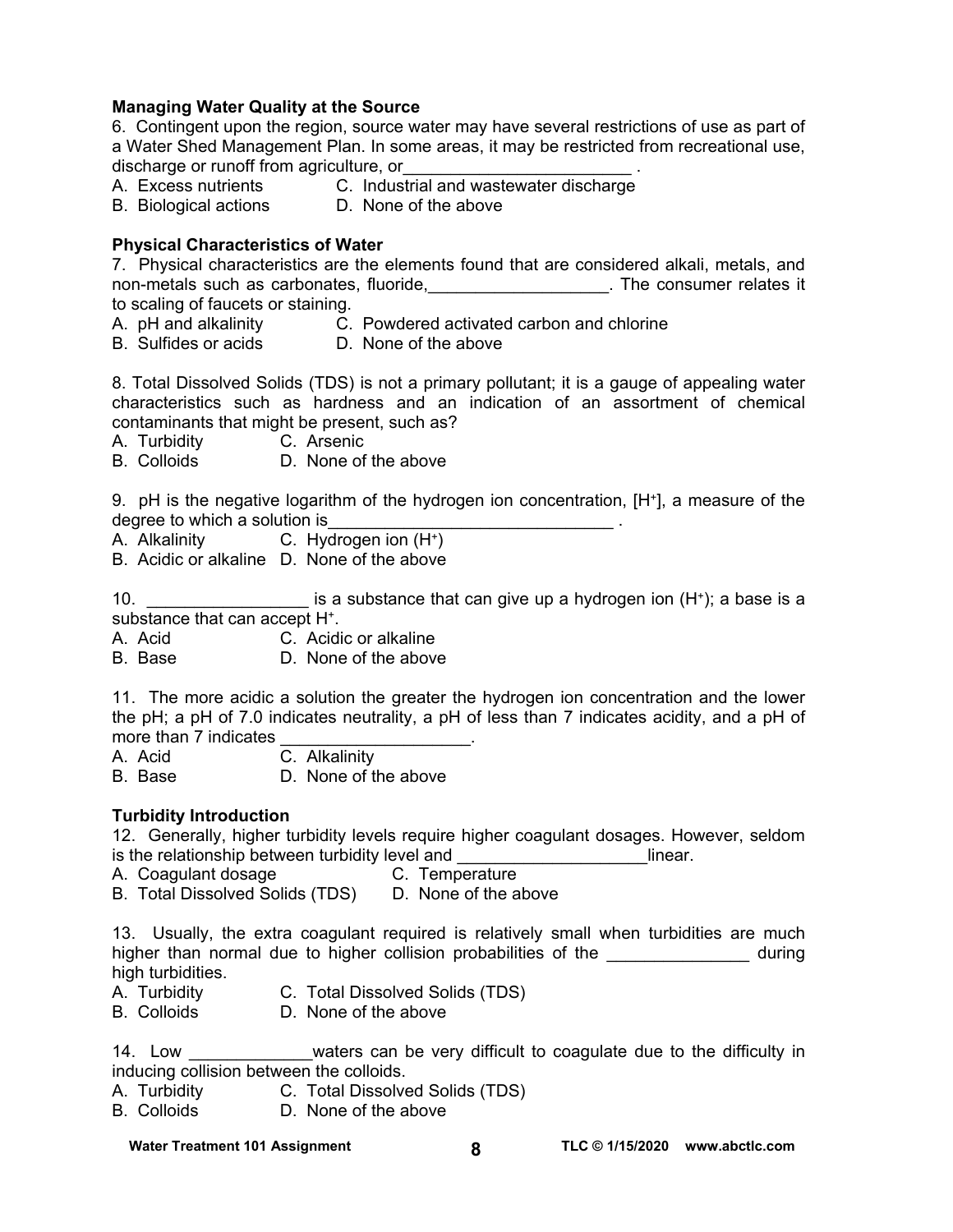### **Managing Water Quality at the Source**

6. Contingent upon the region, source water may have several restrictions of use as part of a Water Shed Management Plan. In some areas, it may be restricted from recreational use, discharge or runoff from agriculture, or

- A. Excess nutrients **C.** Industrial and wastewater discharge
- B. Biological actions D. None of the above

#### **Physical Characteristics of Water**

7. Physical characteristics are the elements found that are considered alkali, metals, and non-metals such as carbonates, fluoride, \_\_\_\_\_\_\_\_\_\_\_\_\_\_\_\_\_\_\_\_. The consumer relates it to scaling of faucets or staining.

- A. pH and alkalinity C. Powdered activated carbon and chlorine
- B. Sulfides or acids **D. None of the above** 
	-

8. Total Dissolved Solids (TDS) is not a primary pollutant; it is a gauge of appealing water characteristics such as hardness and an indication of an assortment of chemical contaminants that might be present, such as?

- A. Turbidity C. Arsenic
- B. Colloids D. None of the above

9. pH is the negative logarithm of the hydrogen ion concentration, [H+], a measure of the degree to which a solution is

- A. Alkalinity C. Hydrogen ion (H+)
- B. Acidic or alkaline D. None of the above

10. \_\_\_\_\_\_\_\_\_\_\_\_\_\_\_\_\_\_\_\_\_ is a substance that can give up a hydrogen ion (H<sup>+</sup>); a base is a substance that can accept H+.

A. Acid C. Acidic or alkaline

B. Base D. None of the above

11. The more acidic a solution the greater the hydrogen ion concentration and the lower the pH; a pH of 7.0 indicates neutrality, a pH of less than 7 indicates acidity, and a pH of more than 7 indicates

A. Acid C. Alkalinity

- B. Base D. None of the above
- 

## **Turbidity Introduction**

12. Generally, higher turbidity levels require higher coagulant dosages. However, seldom is the relationship between turbidity level and \_\_\_\_\_\_\_\_\_\_\_\_\_\_\_\_\_\_\_\_linear.

- A. Coagulant dosage **C. Temperature**
- B. Total Dissolved Solids (TDS) D. None of the above

13. Usually, the extra coagulant required is relatively small when turbidities are much higher than normal due to higher collision probabilities of the \_\_\_\_\_\_\_\_\_\_\_\_\_\_\_ during high turbidities.

- A. Turbidity C. Total Dissolved Solids (TDS)
- B. Colloids D. None of the above

14. Low \_\_\_\_\_\_\_\_\_\_\_\_\_waters can be very difficult to coagulate due to the difficulty in inducing collision between the colloids.

- A. Turbidity C. Total Dissolved Solids (TDS)
- B. Colloids D. None of the above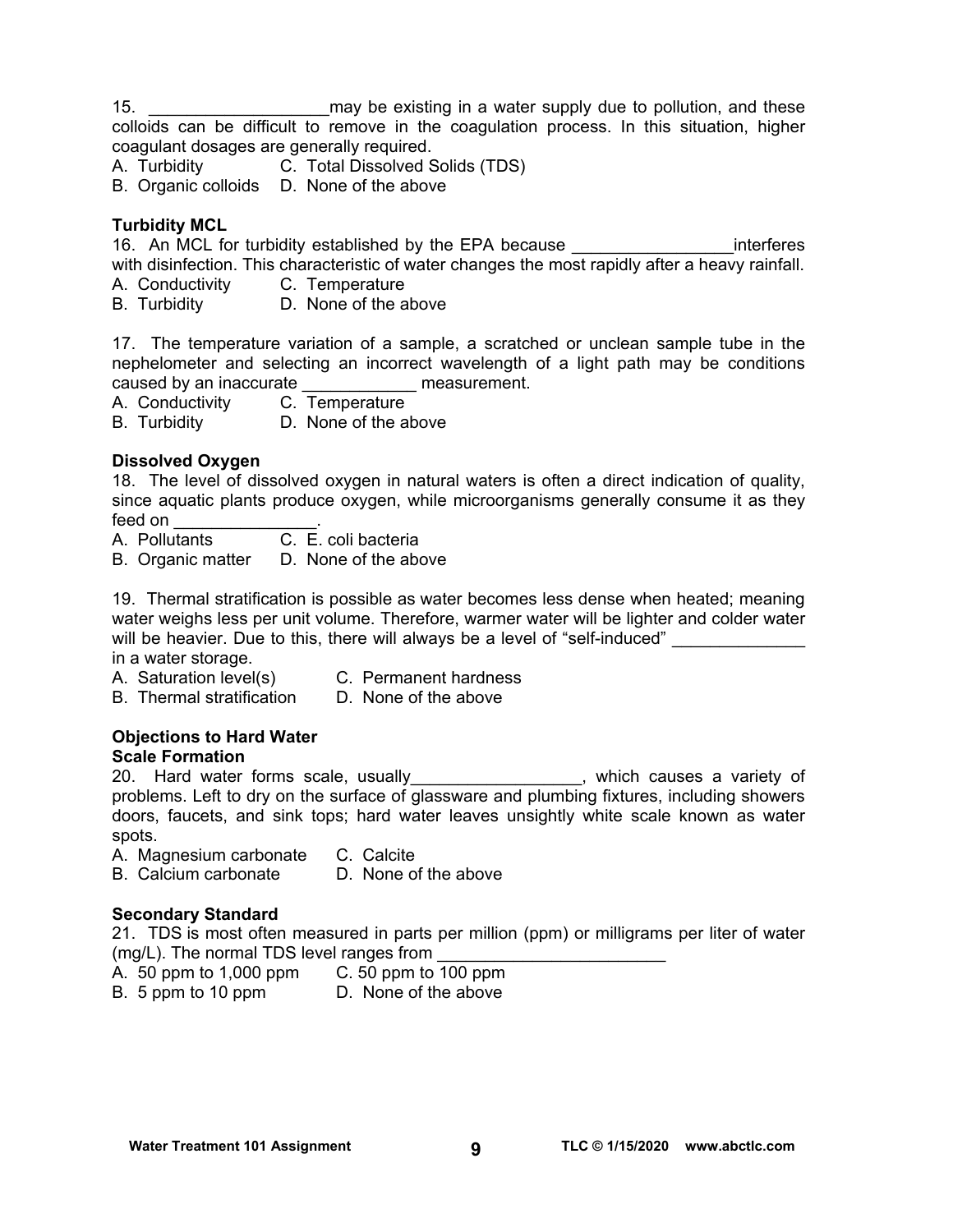15. **15. Example 15** may be existing in a water supply due to pollution, and these colloids can be difficult to remove in the coagulation process. In this situation, higher coagulant dosages are generally required.

A. Turbidity C. Total Dissolved Solids (TDS)

B. Organic colloids D. None of the above

# **Turbidity MCL**

16. An MCL for turbidity established by the EPA because **The Container and Setup** interferes with disinfection. This characteristic of water changes the most rapidly after a heavy rainfall.

- A. Conductivity C. Temperature
- B. Turbidity D. None of the above

17. The temperature variation of a sample, a scratched or unclean sample tube in the nephelometer and selecting an incorrect wavelength of a light path may be conditions caused by an inaccurate example as measurement.

A. Conductivity C. Temperature

B. Turbidity D. None of the above

## **Dissolved Oxygen**

18. The level of dissolved oxygen in natural waters is often a direct indication of quality, since aquatic plants produce oxygen, while microorganisms generally consume it as they feed on \_\_\_\_\_\_\_\_\_\_\_\_\_\_\_.

A. Pollutants C. E. coli bacteria

B. Organic matter D. None of the above

19. Thermal stratification is possible as water becomes less dense when heated; meaning water weighs less per unit volume. Therefore, warmer water will be lighter and colder water will be heavier. Due to this, there will always be a level of "self-induced" in a water storage.

- A. Saturation level(s) C. Permanent hardness
- B. Thermal stratification D. None of the above

# **Objections to Hard Water**

## **Scale Formation**

20. Hard water forms scale, usually\_\_\_\_\_\_\_\_\_\_\_\_\_\_\_\_\_, which causes a variety of problems. Left to dry on the surface of glassware and plumbing fixtures, including showers doors, faucets, and sink tops; hard water leaves unsightly white scale known as water spots.

- A. Magnesium carbonate C. Calcite
- B. Calcium carbonate D. None of the above

## **Secondary Standard**

21. TDS is most often measured in parts per million (ppm) or milligrams per liter of water (mg/L). The normal TDS level ranges from

- A. 50 ppm to 1,000 ppm C. 50 ppm to 100 ppm
- 
- B. 5 ppm to 10 ppm D. None of the above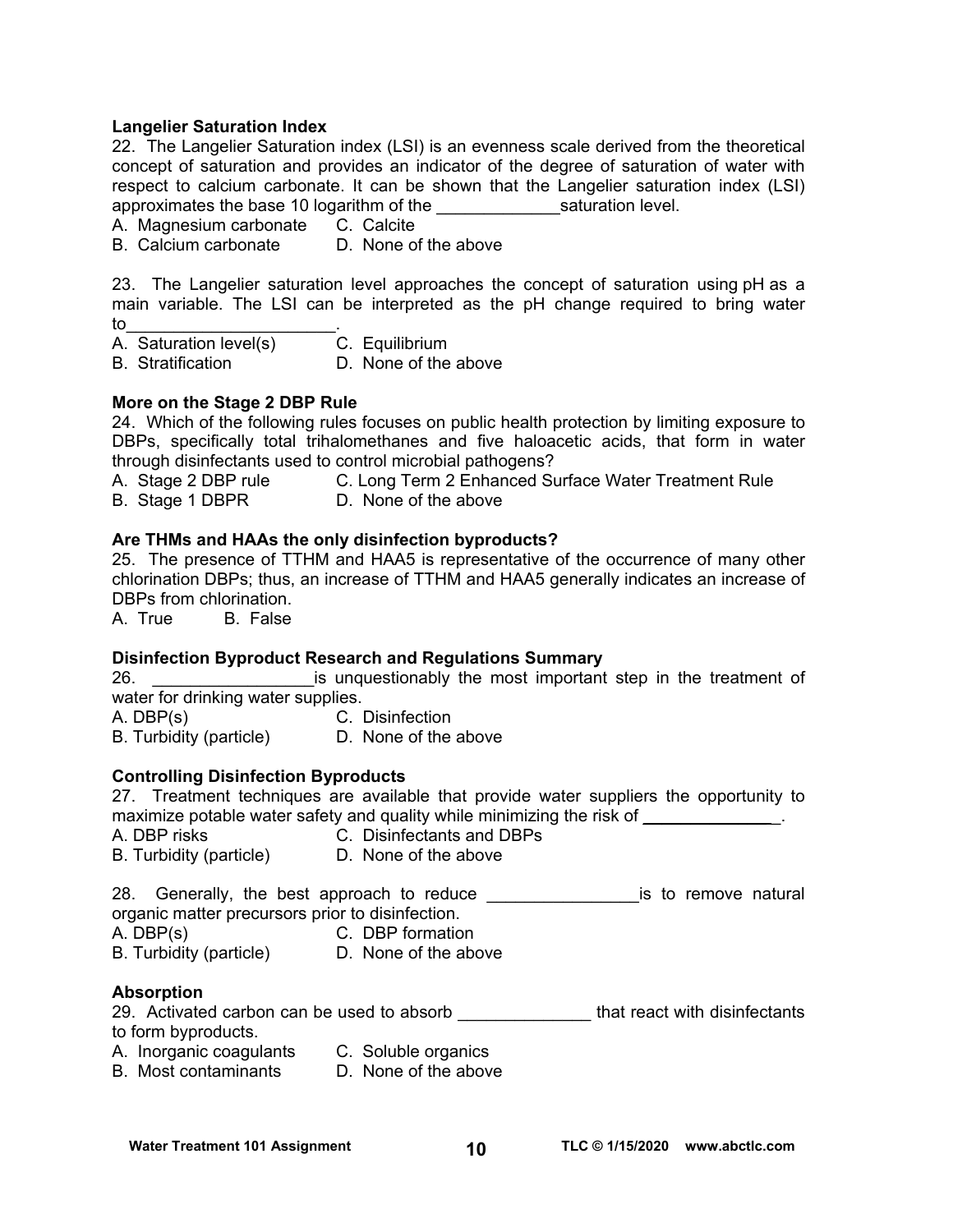#### **Langelier Saturation Index**

22. The Langelier Saturation index (LSI) is an evenness scale derived from the theoretical concept of saturation and provides an indicator of the degree of saturation of water with respect to calcium carbonate. It can be shown that the Langelier saturation index (LSI) approximates the base 10 logarithm of the saturation level.

A. Magnesium carbonate C. Calcite

B. Calcium carbonate D. None of the above

23. The Langelier saturation level approaches the concept of saturation using pH as a main variable. The LSI can be interpreted as the pH change required to bring water to\_\_\_\_\_\_\_\_\_\_\_\_\_\_\_\_\_\_\_\_\_\_.

|  | A. Saturation level(s) | C. Equilibrium |  |
|--|------------------------|----------------|--|
|--|------------------------|----------------|--|

B. Stratification D. None of the above

#### **More on the Stage 2 DBP Rule**

24. Which of the following rules focuses on public health protection by limiting exposure to DBPs, specifically total trihalomethanes and five haloacetic acids, that form in water through disinfectants used to control microbial pathogens?

- A. Stage 2 DBP rule **C. Long Term 2 Enhanced Surface Water Treatment Rule**
- B. Stage 1 DBPR D. None of the above

#### **Are THMs and HAAs the only disinfection byproducts?**

25. The presence of TTHM and HAA5 is representative of the occurrence of many other chlorination DBPs; thus, an increase of TTHM and HAA5 generally indicates an increase of DBPs from chlorination.

A. True B. False

#### **Disinfection Byproduct Research and Regulations Summary**

26. **Example 26.** The most important step in the treatment of water for drinking water supplies.

A. DBP(s) C. Disinfection

# B. Turbidity (particle) D. None of the above

#### **Controlling Disinfection Byproducts**

27. Treatment techniques are available that provide water suppliers the opportunity to maximize potable water safety and quality while minimizing the risk of  $\blacksquare$ 

- A. DBP risks C. Disinfectants and DBPs
- B. Turbidity (particle) D. None of the above

28. Generally, the best approach to reduce \_\_\_\_\_\_\_\_\_\_\_\_\_\_\_\_\_\_\_\_is to remove natural organic matter precursors prior to disinfection.

- A. DBP(s) C. DBP formation
- B. Turbidity (particle) D. None of the above

#### **Absorption**

29. Activated carbon can be used to absorb \_\_\_\_\_\_\_\_\_\_\_\_\_\_\_\_that react with disinfectants to form byproducts.

- A. Inorganic coagulants C. Soluble organics
- B. Most contaminants D. None of the above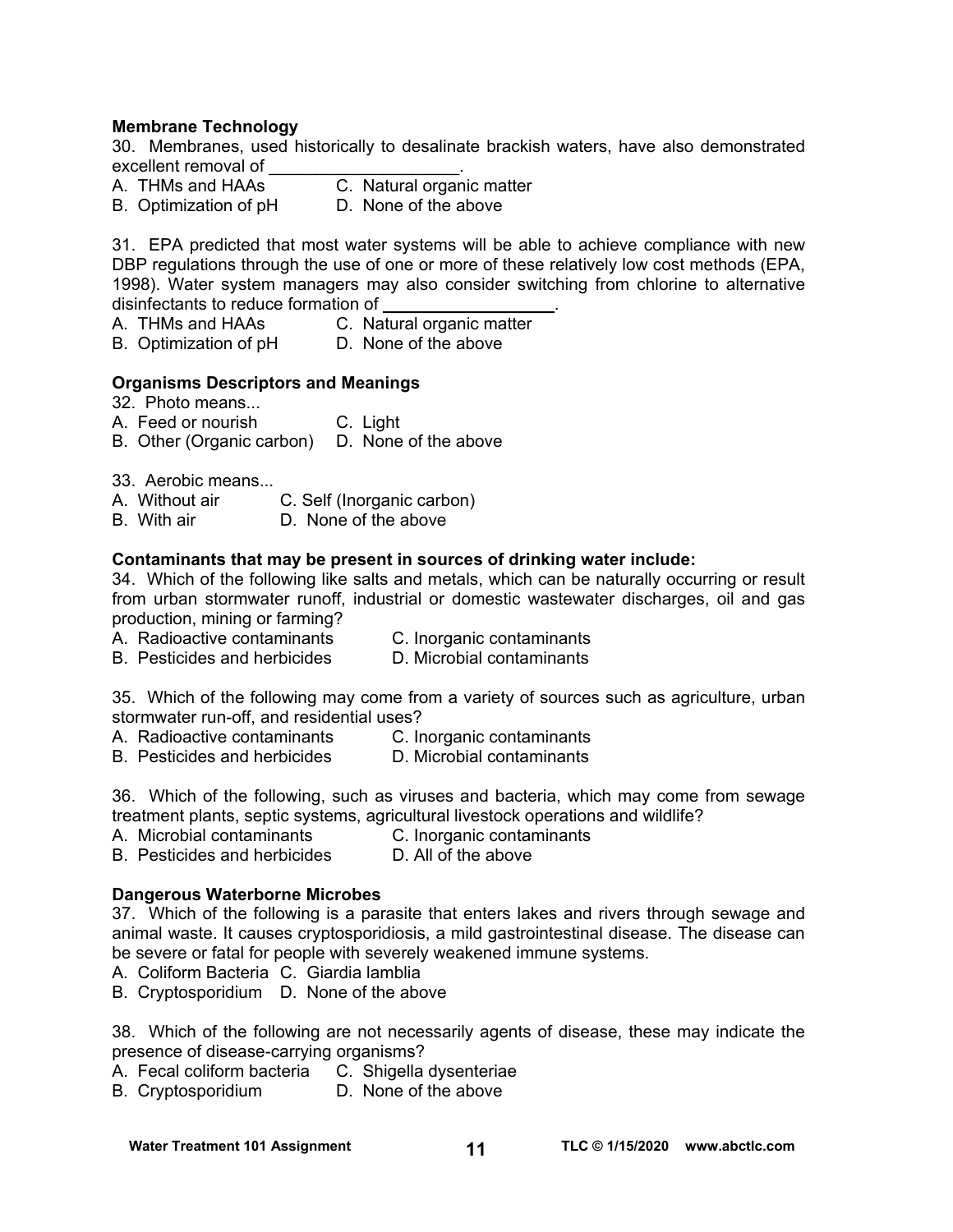#### **Membrane Technology**

30. Membranes, used historically to desalinate brackish waters, have also demonstrated excellent removal of

- A. THMs and HAAs C. Natural organic matter
- B. Optimization of pH D. None of the above

31. EPA predicted that most water systems will be able to achieve compliance with new DBP regulations through the use of one or more of these relatively low cost methods (EPA, 1998). Water system managers may also consider switching from chlorine to alternative disinfectants to reduce formation of

- A. THMs and HAAs C. Natural organic matter
- B. Optimization of pH D. None of the above

#### **Organisms Descriptors and Meanings**

- 32. Photo means...
- A. Feed or nourish C. Light
- B. Other (Organic carbon) D. None of the above
- 33. Aerobic means...<br>A. Without air
- A. Without air C. Self (Inorganic carbon)
- D. None of the above

#### **Contaminants that may be present in sources of drinking water include:**

34. Which of the following like salts and metals, which can be naturally occurring or result from urban stormwater runoff, industrial or domestic wastewater discharges, oil and gas production, mining or farming?

- A. Radioactive contaminants C. Inorganic contaminants
	-
- B. Pesticides and herbicides D. Microbial contaminants

35. Which of the following may come from a variety of sources such as agriculture, urban stormwater run-off, and residential uses?

- A. Radioactive contaminants C. Inorganic contaminants
- B. Pesticides and herbicides D. Microbial contaminants

36. Which of the following, such as viruses and bacteria, which may come from sewage treatment plants, septic systems, agricultural livestock operations and wildlife?

- A. Microbial contaminants C. Inorganic contaminants
- B. Pesticides and herbicides D. All of the above

#### **Dangerous Waterborne Microbes**

37. Which of the following is a parasite that enters lakes and rivers through sewage and animal waste. It causes cryptosporidiosis, a mild gastrointestinal disease. The disease can be severe or fatal for people with severely weakened immune systems.

- A. Coliform Bacteria C. Giardia lamblia
- B. Cryptosporidium D. None of the above

38. Which of the following are not necessarily agents of disease, these may indicate the presence of disease-carrying organisms?

- A. Fecal coliform bacteria C. Shigella dysenteriae
- B. Cryptosporidium D. None of the above

**Water Treatment 101 Assignment 101 Assignment 101 Assignment 101 Assignment 101 Assignment 101 Assignment 11 Assignment 11 Assignment 11 Assignment 11 Assignment 11 Assignment 11 Assignment 11 Assignment 11 Assignment 11**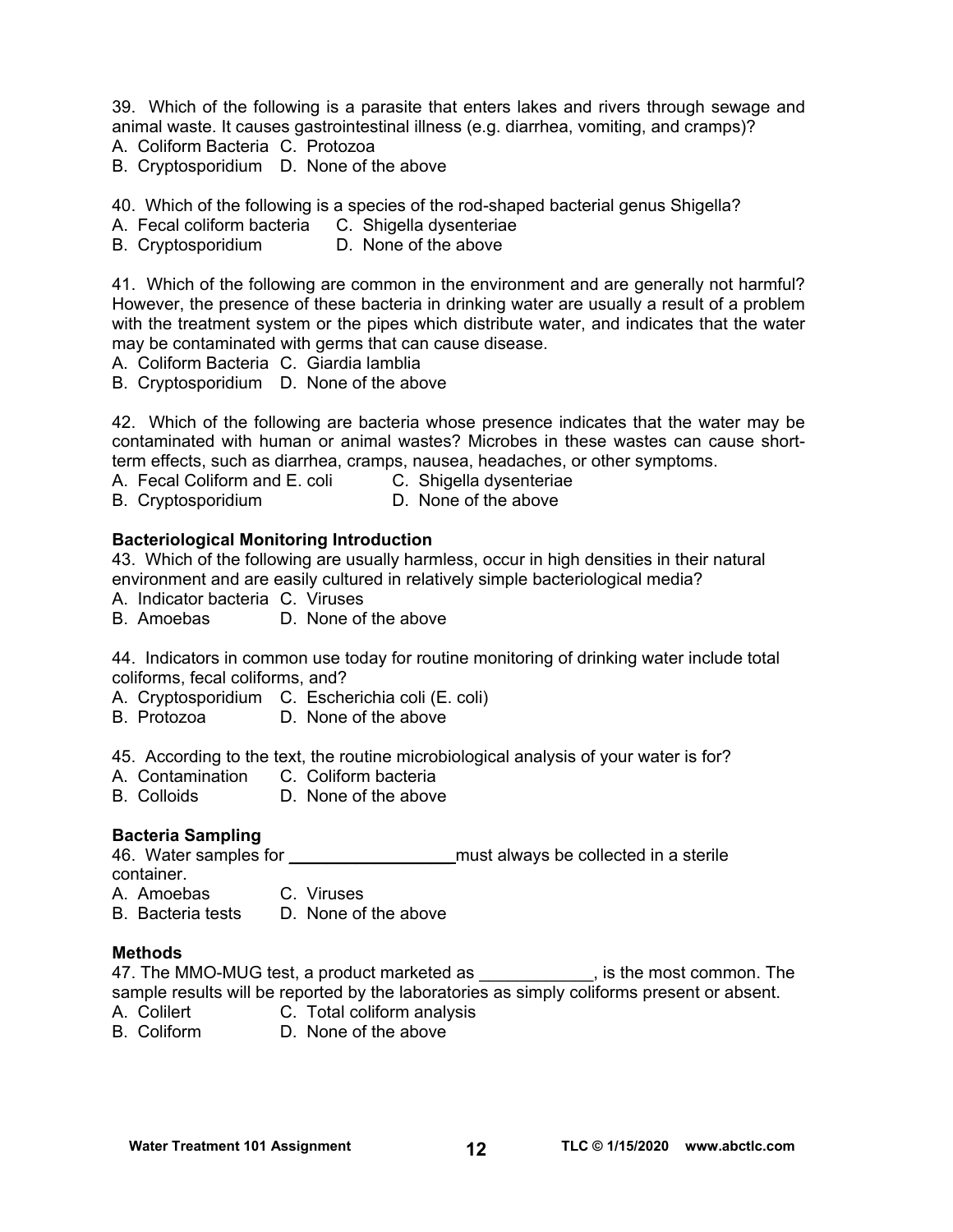39. Which of the following is a parasite that enters lakes and rivers through sewage and animal waste. It causes gastrointestinal illness (e.g. diarrhea, vomiting, and cramps)? A. Coliform Bacteria C. Protozoa

B. Cryptosporidium D. None of the above

40. Which of the following is a species of the rod-shaped bacterial genus Shigella?

A. Fecal coliform bacteria C. Shigella dysenteriae

B. Cryptosporidium D. None of the above

41. Which of the following are common in the environment and are generally not harmful? However, the presence of these bacteria in drinking water are usually a result of a problem with the treatment system or the pipes which distribute water, and indicates that the water may be contaminated with germs that can cause disease.

A. Coliform Bacteria C. Giardia lamblia

B. Cryptosporidium D. None of the above

42. Which of the following are bacteria whose presence indicates that the water may be contaminated with human or animal wastes? Microbes in these wastes can cause shortterm effects, such as diarrhea, cramps, nausea, headaches, or other symptoms.

A. Fecal Coliform and E. coli C. Shigella dysenteriae

B. Cryptosporidium **D. None of the above** 

#### **Bacteriological Monitoring Introduction**

43. Which of the following are usually harmless, occur in high densities in their natural environment and are easily cultured in relatively simple bacteriological media?

A. Indicator bacteria C. Viruses

B. Amoebas D. None of the above

44. Indicators in common use today for routine monitoring of drinking water include total coliforms, fecal coliforms, and?

A. Cryptosporidium C. Escherichia coli (E. coli)

B. Protozoa D. None of the above

45. According to the text, the routine microbiological analysis of your water is for?

- A. Contamination C. Coliform bacteria<br>
B. Colloids B. None of the above
- D. None of the above

## **Bacteria Sampling**

46. Water samples for \_\_\_\_\_\_\_\_\_\_\_\_\_\_\_\_\_\_\_\_\_\_\_ must always be collected in a sterile container.

A. Amoebas C. Viruses

B. Bacteria tests D. None of the above

#### **Methods**

47. The MMO-MUG test, a product marketed as \_\_\_\_\_\_\_\_\_\_\_\_, is the most common. The sample results will be reported by the laboratories as simply coliforms present or absent.

- A. Colilert **C. Total coliform analysis**
- B. Coliform D. None of the above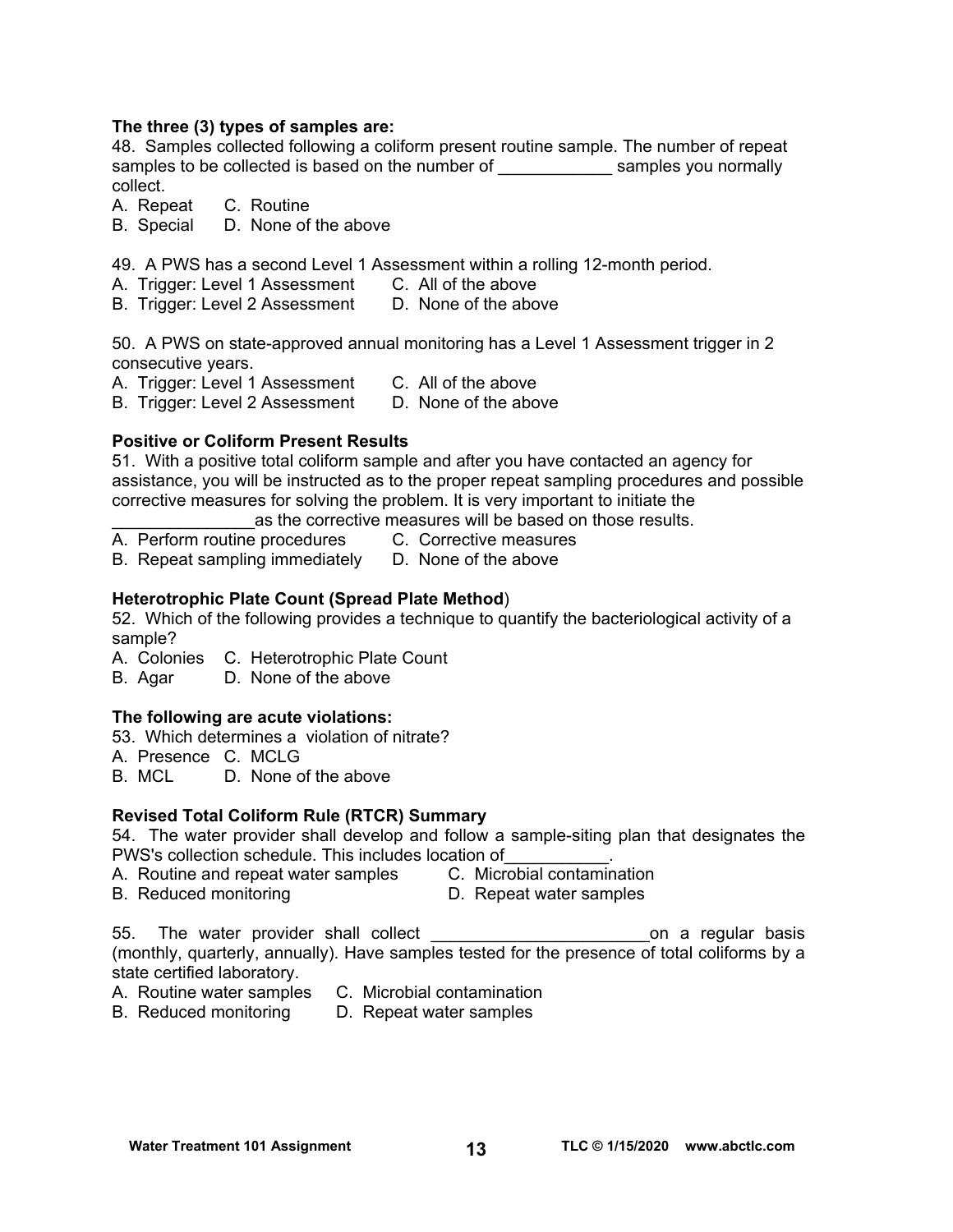#### **The three (3) types of samples are:**

48. Samples collected following a coliform present routine sample. The number of repeat samples to be collected is based on the number of \_\_\_\_\_\_\_\_\_\_\_\_\_\_\_ samples you normally collect.

A. Repeat C. Routine

B. Special D. None of the above

49. A PWS has a second Level 1 Assessment within a rolling 12-month period.

- A. Trigger: Level 1 Assessment C. All of the above
- B. Trigger: Level 2 Assessment D. None of the above

50. A PWS on state-approved annual monitoring has a Level 1 Assessment trigger in 2 consecutive years.

- A. Trigger: Level 1 Assessment C. All of the above
	-

B. Trigger: Level 2 Assessment D. None of the above

## **Positive or Coliform Present Results**

51. With a positive total coliform sample and after you have contacted an agency for assistance, you will be instructed as to the proper repeat sampling procedures and possible corrective measures for solving the problem. It is very important to initiate the

as the corrective measures will be based on those results.

- A. Perform routine procedures C. Corrective measures
	-

B. Repeat sampling immediately D. None of the above

## **Heterotrophic Plate Count (Spread Plate Method**)

52. Which of the following provides a technique to quantify the bacteriological activity of a sample?

A. Colonies C. Heterotrophic Plate Count

B. Agar D. None of the above

# **The following are acute violations:**

53. Which determines a violation of nitrate?

- A. Presence C. MCLG
- B. MCL D. None of the above

## **Revised Total Coliform Rule (RTCR) Summary**

54. The water provider shall develop and follow a sample-siting plan that designates the PWS's collection schedule. This includes location of

- A. Routine and repeat water samples C. Microbial contamination
- B. Reduced monitoring D. Repeat water samples
- 
- 
- 

55. The water provider shall collect example to the contract on a regular basis (monthly, quarterly, annually). Have samples tested for the presence of total coliforms by a state certified laboratory.

- A. Routine water samples C. Microbial contamination
- B. Reduced monitoring D. Repeat water samples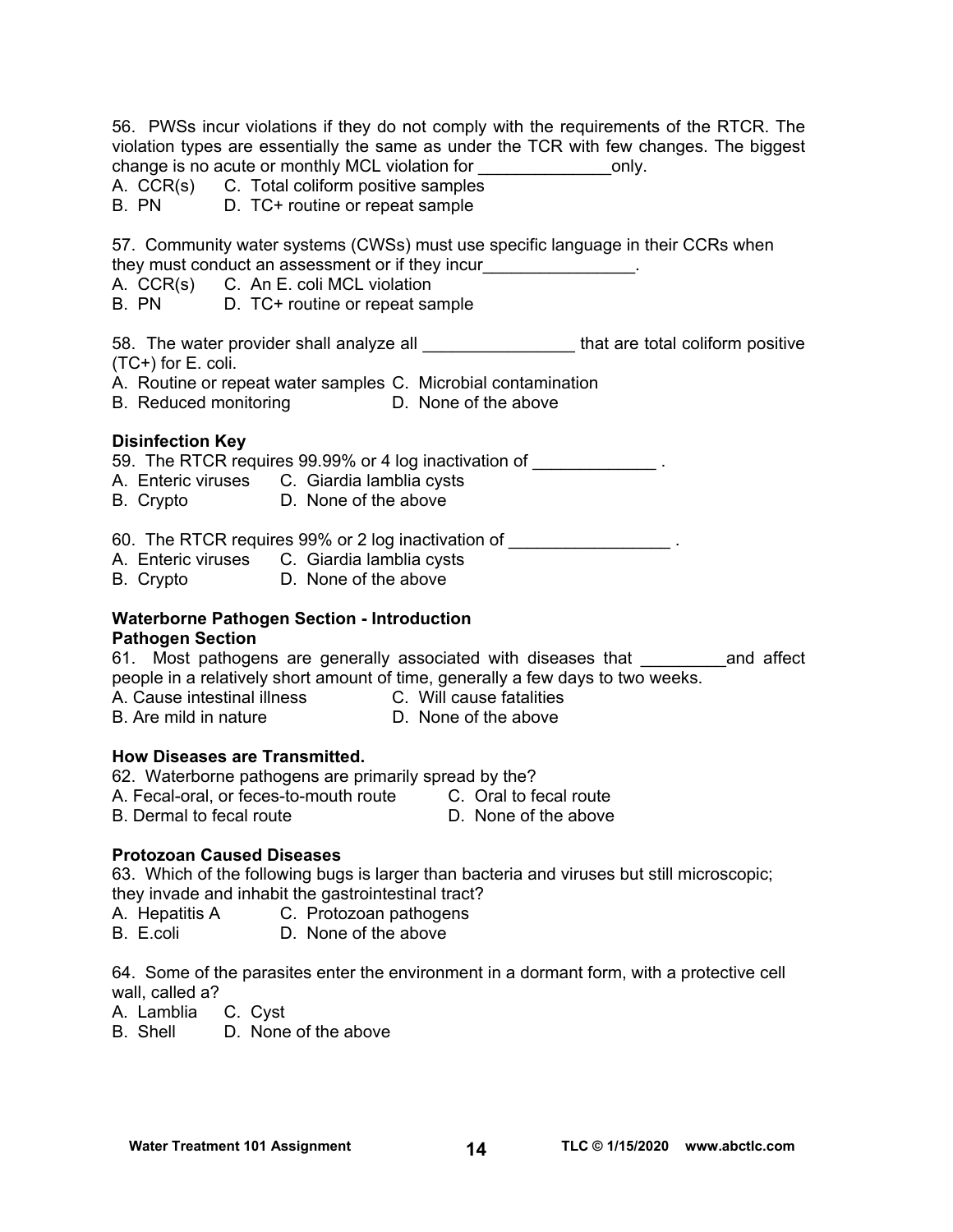56. PWSs incur violations if they do not comply with the requirements of the RTCR. The violation types are essentially the same as under the TCR with few changes. The biggest change is no acute or monthly MCL violation for \_\_\_\_\_\_\_\_\_\_\_\_\_\_\_\_\_\_only.

A.  $CCR(s)$  C. Total coliform positive samples<br>B. PN D. TC+ routine or repeat sample

D. TC+ routine or repeat sample

57. Community water systems (CWSs) must use specific language in their CCRs when they must conduct an assessment or if they incur

- A. CCR(s) C. An E. coli MCL violation
- B. PN D. TC+ routine or repeat sample

58. The water provider shall analyze all **the set of that are total coliform positive** (TC+) for E. coli.

- A. Routine or repeat water samples C. Microbial contamination
- B. Reduced monitoring D. None of the above

#### **Disinfection Key**

59. The RTCR requires 99.99% or 4 log inactivation of \_\_\_\_\_\_\_\_\_\_\_\_\_\_\_.

- A. Enteric viruses C. Giardia lamblia cysts<br>B. Crypto C. None of the above
- B. Crypto

60. The RTCR requires 99% or 2 log inactivation of  $\blacksquare$ 

- A. Enteric viruses C. Giardia lamblia cysts
- B. Crypto D. None of the above

#### **Waterborne Pathogen Section - Introduction Pathogen Section**

61. Most pathogens are generally associated with diseases that **and affect** people in a relatively short amount of time, generally a few days to two weeks.

A. Cause intestinal illness C. Will cause fatalities

B. Are mild in nature D. None of the above

## **How Diseases are Transmitted.**

62. Waterborne pathogens are primarily spread by the?

A. Fecal-oral, or feces-to-mouth route C. Oral to fecal route

B. Dermal to fecal route **D. None of the above** 

## **Protozoan Caused Diseases**

63. Which of the following bugs is larger than bacteria and viruses but still microscopic; they invade and inhabit the gastrointestinal tract?

- A. Hepatitis A C. Protozoan pathogens
- B. E.coli D. None of the above

64. Some of the parasites enter the environment in a dormant form, with a protective cell wall, called a?

- A. Lamblia C. Cyst
- B. Shell D. None of the above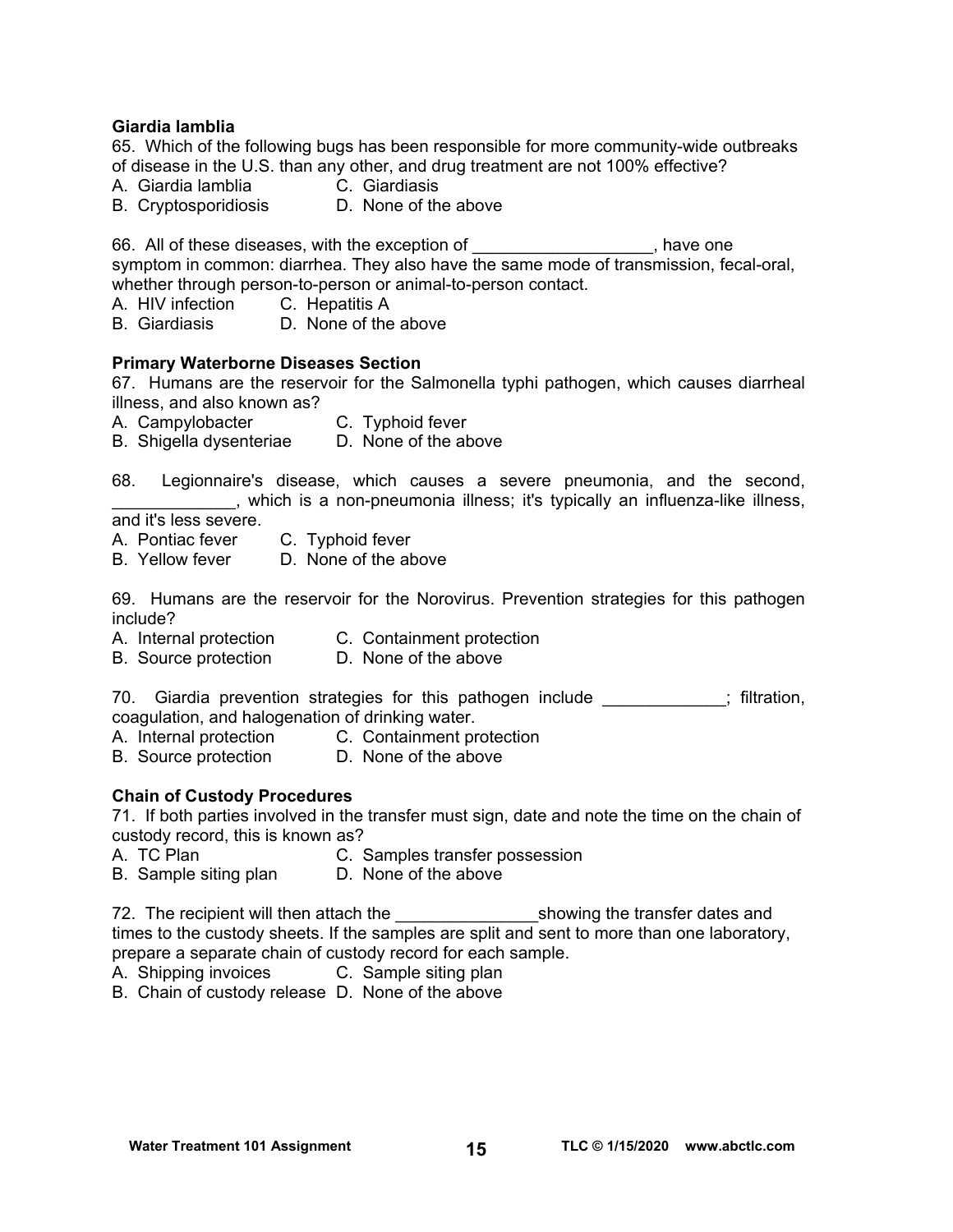#### **Giardia lamblia**

65. Which of the following bugs has been responsible for more community-wide outbreaks of disease in the U.S. than any other, and drug treatment are not 100% effective?

- A. Giardia lamblia C. Giardiasis
- B. Cryptosporidiosis D. None of the above

66. All of these diseases, with the exception of Theorem and the steady have one symptom in common: diarrhea. They also have the same mode of transmission, fecal-oral, whether through person-to-person or animal-to-person contact.

- A. HIV infection C. Hepatitis A
- B. Giardiasis D. None of the above

#### **Primary Waterborne Diseases Section**

67. Humans are the reservoir for the Salmonella typhi pathogen, which causes diarrheal illness, and also known as?

- A. Campylobacter C. Typhoid fever
- B. Shigella dysenteriae D. None of the above

68. Legionnaire's disease, which causes a severe pneumonia, and the second, \_\_\_\_\_\_\_\_\_\_\_\_\_, which is a non-pneumonia illness; it's typically an influenza-like illness,

and it's less severe.

- A. Pontiac fever C. Typhoid fever
- B. Yellow fever D. None of the above

69. Humans are the reservoir for the Norovirus. Prevention strategies for this pathogen include?

- A. Internal protection C. Containment protection
- B. Source protection D. None of the above

70. Giardia prevention strategies for this pathogen include  $\blacksquare$ ; filtration, coagulation, and halogenation of drinking water.

- A. Internal protection C. Containment protection
- B. Source protection D. None of the above

#### **Chain of Custody Procedures**

71. If both parties involved in the transfer must sign, date and note the time on the chain of custody record, this is known as?

- A. TC Plan C. Samples transfer possession
- B. Sample siting plan D. None of the above

72. The recipient will then attach the transfer dates and showing the transfer dates and times to the custody sheets. If the samples are split and sent to more than one laboratory, prepare a separate chain of custody record for each sample.

- A. Shipping invoices C. Sample siting plan
- B. Chain of custody release D. None of the above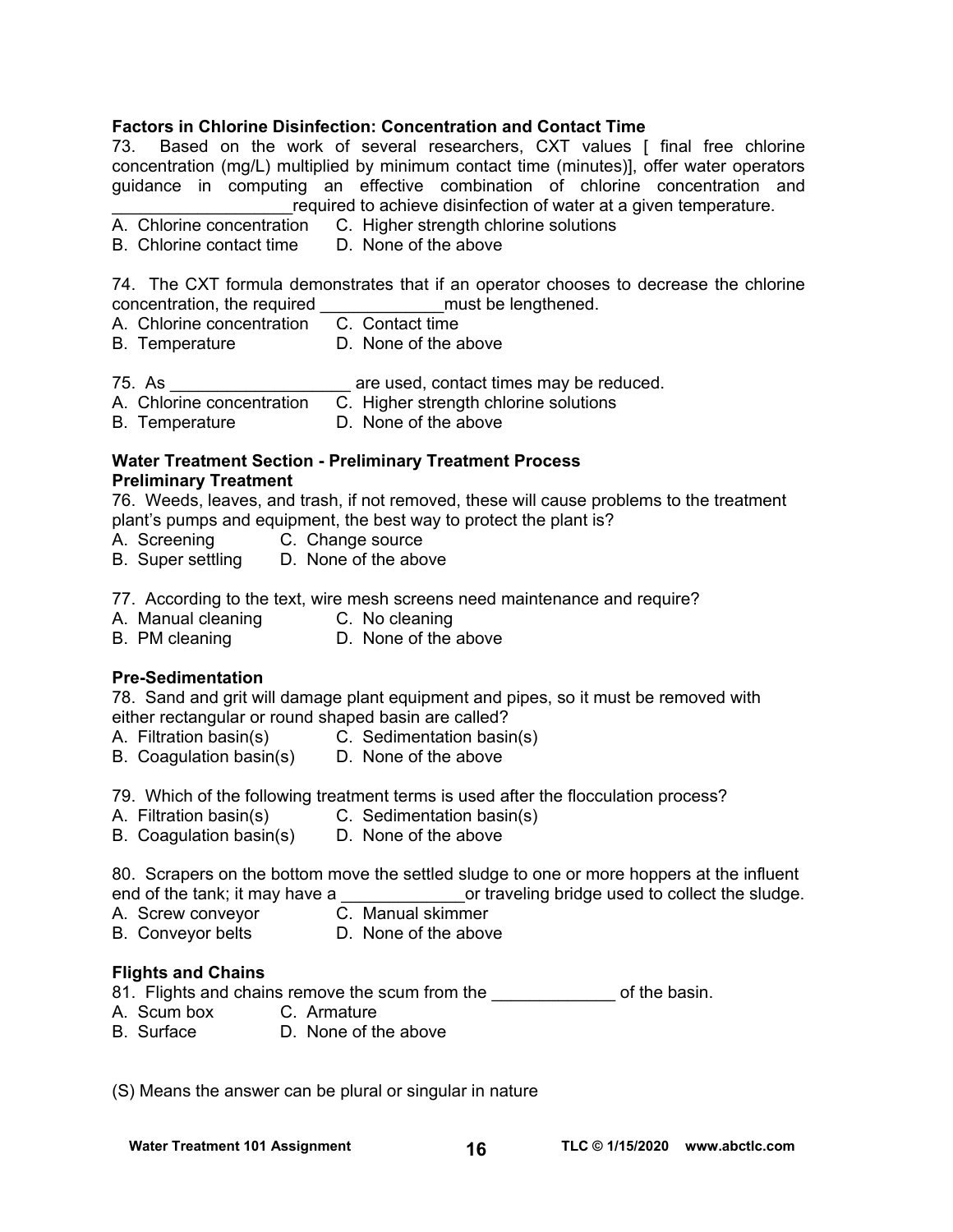## **Factors in Chlorine Disinfection: Concentration and Contact Time**

73. Based on the work of several researchers, CXT values [ final free chlorine concentration (mg/L) multiplied by minimum contact time (minutes)], offer water operators guidance in computing an effective combination of chlorine concentration and required to achieve disinfection of water at a given temperature.

- A. Chlorine concentration C. Higher strength chlorine solutions
- B. Chlorine contact time D. None of the above

74. The CXT formula demonstrates that if an operator chooses to decrease the chlorine concentration, the required \_\_\_\_\_\_\_\_\_\_\_\_\_must be lengthened.

- A. Chlorine concentration C. Contact time
- B. Temperature D. None of the above
- 75. As **are used, contact times may be reduced.**
- A. Chlorine concentration C. Higher strength chlorine solutions
- B. Temperature D. None of the above

#### **Water Treatment Section - Preliminary Treatment Process Preliminary Treatment**

76. Weeds, leaves, and trash, if not removed, these will cause problems to the treatment plant's pumps and equipment, the best way to protect the plant is?

- A. Screening C. Change source
- B. Super settling D. None of the above

77. According to the text, wire mesh screens need maintenance and require?

- A. Manual cleaning C. No cleaning
- B. PM cleaning **D.** None of the above

#### **Pre-Sedimentation**

78. Sand and grit will damage plant equipment and pipes, so it must be removed with either rectangular or round shaped basin are called?

- A. Filtration basin(s) C. Sedimentation basin(s)
- B. Coagulation basin(s) D. None of the above
- 79. Which of the following treatment terms is used after the flocculation process?
- A. Filtration basin(s) C. Sedimentation basin(s)
- B. Coagulation basin(s) D. None of the above

80. Scrapers on the bottom move the settled sludge to one or more hoppers at the influent end of the tank; it may have a \_\_\_\_\_\_\_\_\_\_\_\_\_\_\_\_\_or traveling bridge used to collect the sludge.

- A. Screw conveyor **C. Manual skimmer**
- B. Conveyor belts **D.** None of the above
- 

#### **Flights and Chains**

- 81. Flights and chains remove the scum from the **Example 20** of the basin.
- A. Scum box C. Armature
- B. Surface D. None of the above

(S) Means the answer can be plural or singular in nature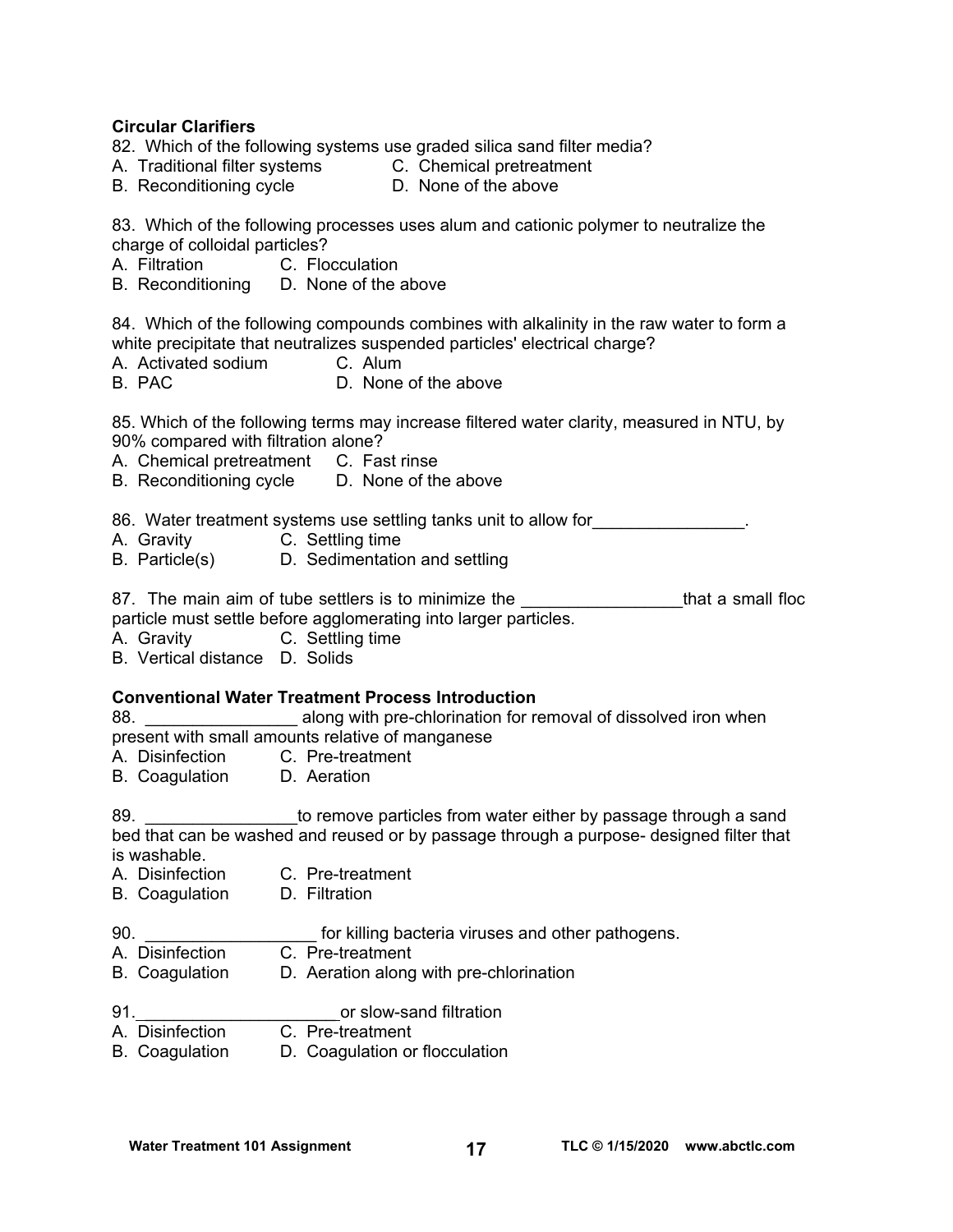#### **Circular Clarifiers**

- 82. Which of the following systems use graded silica sand filter media?
- A. Traditional filter systems C. Chemical pretreatment
- B. Reconditioning cycle D. None of the above

83. Which of the following processes uses alum and cationic polymer to neutralize the charge of colloidal particles?

- A. Filtration C. Flocculation
- B. Reconditioning D. None of the above

84. Which of the following compounds combines with alkalinity in the raw water to form a white precipitate that neutralizes suspended particles' electrical charge?

- A. Activated sodium C. Alum
- B. PAC D. None of the above

85. Which of the following terms may increase filtered water clarity, measured in NTU, by 90% compared with filtration alone?

- A. Chemical pretreatment C. Fast rinse
- B. Reconditioning cycle D. None of the above

86. Water treatment systems use settling tanks unit to allow for  $\qquad \qquad \ldots$ 

- A. Gravity C. Settling time
- B. Particle(s) D. Sedimentation and settling

87. The main aim of tube settlers is to minimize the \_\_\_\_\_\_\_\_\_\_\_\_\_\_\_\_\_\_\_\_\_that a small floc particle must settle before agglomerating into larger particles.

A. Gravity C. Settling time

B. Vertical distance D. Solids

## **Conventional Water Treatment Process Introduction**

88. **Example 3 along with pre-chlorination for removal of dissolved iron when** present with small amounts relative of manganese

- A. Disinfection C. Pre-treatment
- B. Coagulation D. Aeration

89. \_\_\_\_\_\_\_\_\_\_\_\_\_\_\_\_to remove particles from water either by passage through a sand bed that can be washed and reused or by passage through a purpose- designed filter that is washable.

- A. Disinfection C. Pre-treatment
- B. Coagulation D. Filtration
- 

90. **Example 30. 1998 10 h** for killing bacteria viruses and other pathogens.

- A. Disinfection C. Pre-treatment
- B. Coagulation D. Aeration along with pre-chlorination
- 91. \_\_\_\_\_\_\_\_\_\_\_\_\_\_\_\_\_\_\_\_ or slow-sand filtration
- A. Disinfection C. Pre-treatment
- B. Coagulation D. Coagulation or flocculation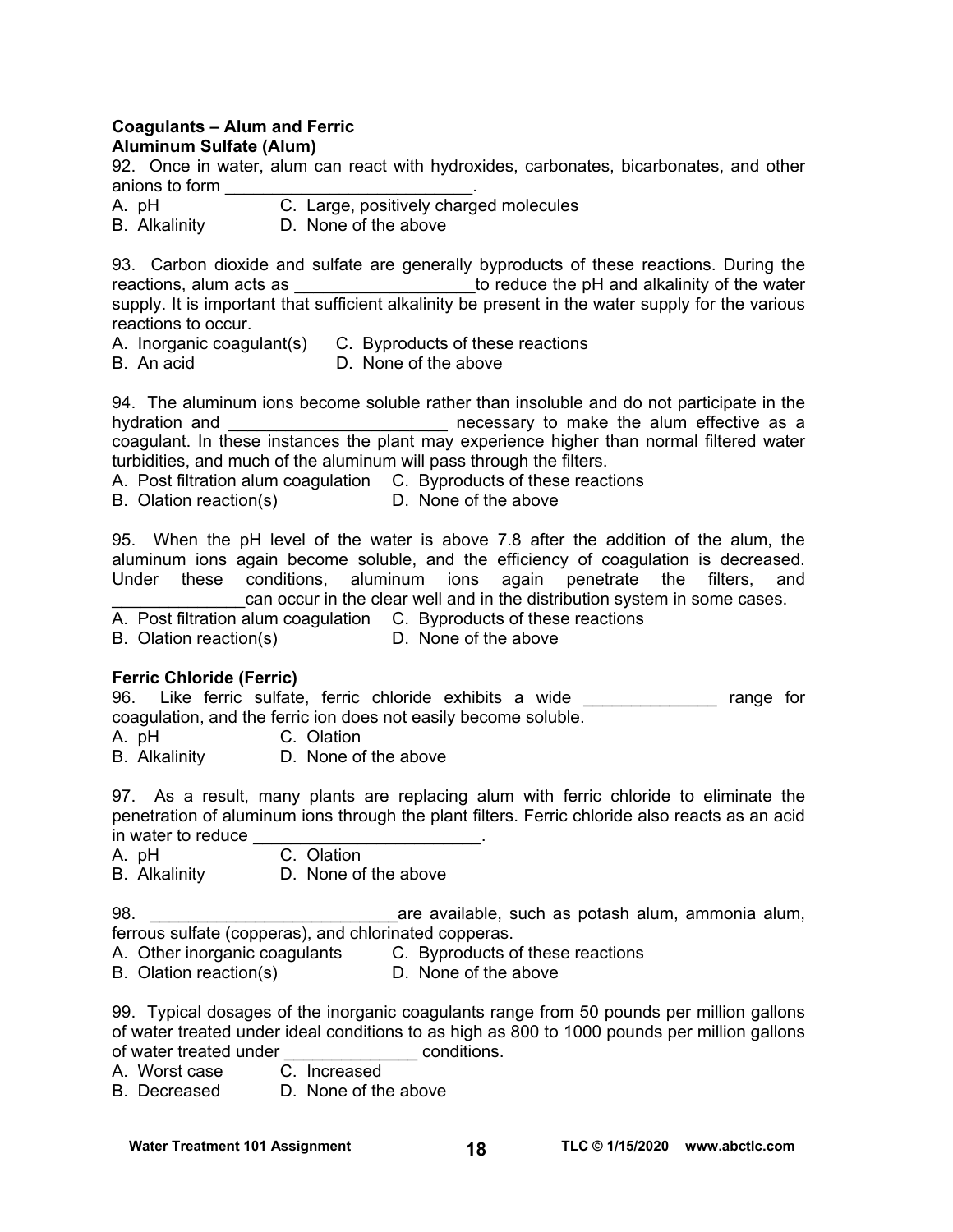#### **Coagulants – Alum and Ferric Aluminum Sulfate (Alum)**

92. Once in water, alum can react with hydroxides, carbonates, bicarbonates, and other anions to form \_\_\_\_\_\_\_\_\_\_\_\_\_\_\_\_\_\_\_\_\_\_\_\_\_\_.

- A. pH C. Large, positively charged molecules
- B. Alkalinity D. None of the above

93. Carbon dioxide and sulfate are generally byproducts of these reactions. During the reactions, alum acts as **the set of the pH** and alkalinity of the water supply. It is important that sufficient alkalinity be present in the water supply for the various reactions to occur.

- A. Inorganic coagulant(s) C. Byproducts of these reactions
- B. An acid D. None of the above

94. The aluminum ions become soluble rather than insoluble and do not participate in the hydration and \_\_\_\_\_\_\_\_\_\_\_\_\_\_\_\_\_\_\_\_\_\_\_\_\_\_ necessary to make the alum effective as a coagulant. In these instances the plant may experience higher than normal filtered water turbidities, and much of the aluminum will pass through the filters.

A. Post filtration alum coagulation C. Byproducts of these reactions

B. Olation reaction(s) D. None of the above

95. When the pH level of the water is above 7.8 after the addition of the alum, the aluminum ions again become soluble, and the efficiency of coagulation is decreased. Under these conditions, aluminum ions again penetrate the filters, and can occur in the clear well and in the distribution system in some cases.

A. Post filtration alum coagulation C. Byproducts of these reactions

B. Olation reaction(s) D. None of the above

## **Ferric Chloride (Ferric)**

96. Like ferric sulfate, ferric chloride exhibits a wide **Example 18** range for coagulation, and the ferric ion does not easily become soluble.

A. pH C. Olation

B. Alkalinity D. None of the above

97. As a result, many plants are replacing alum with ferric chloride to eliminate the penetration of aluminum ions through the plant filters. Ferric chloride also reacts as an acid in water to reduce

A. pH C. Olation

B. Alkalinity D. None of the above

98. \_\_\_\_\_\_\_\_\_\_\_\_\_\_\_\_\_\_\_\_\_\_\_\_\_\_are available, such as potash alum, ammonia alum, ferrous sulfate (copperas), and chlorinated copperas.

- A. Other inorganic coagulants C. Byproducts of these reactions
- B. Olation reaction(s) D. None of the above

99. Typical dosages of the inorganic coagulants range from 50 pounds per million gallons of water treated under ideal conditions to as high as 800 to 1000 pounds per million gallons of water treated under \_\_\_\_\_\_\_\_\_\_\_\_\_\_ conditions.

A. Worst case

B. Decreased D. None of the above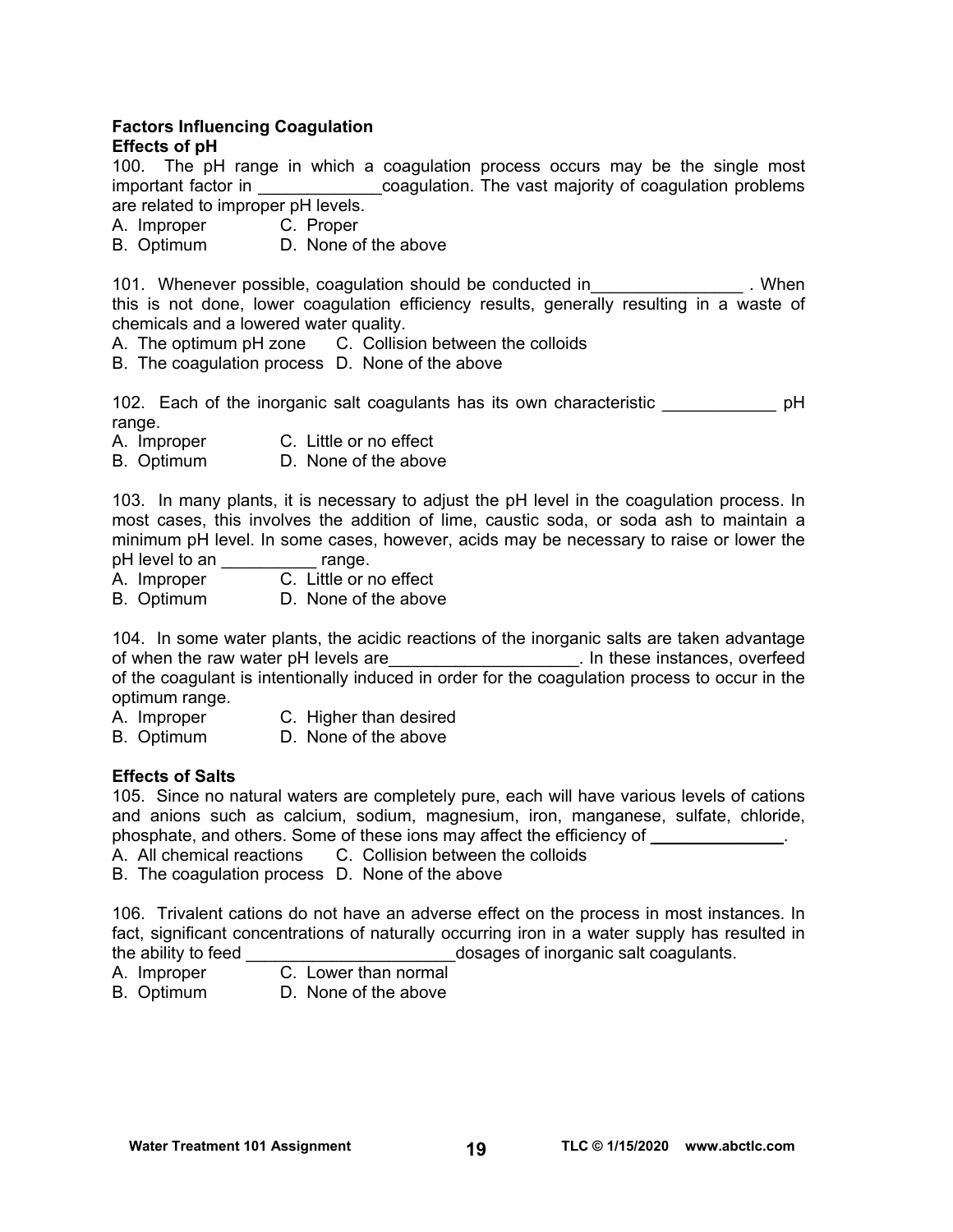# **Factors Influencing Coagulation**

## **Effects of pH**

100. The pH range in which a coagulation process occurs may be the single most important factor in **Example 20** coagulation. The vast majority of coagulation problems are related to improper pH levels.

- A. Improper C. Proper
- B. Optimum D. None of the above

101. Whenever possible, coagulation should be conducted in \_\_\_\_\_\_\_\_\_\_\_\_\_\_\_\_\_\_\_. When this is not done, lower coagulation efficiency results, generally resulting in a waste of chemicals and a lowered water quality.

A. The optimum pH zone C. Collision between the colloids

B. The coagulation process D. None of the above

102. Each of the inorganic salt coagulants has its own characteristic **Example 102.** pH range.

- A. Improper C. Little or no effect
- B. Optimum D. None of the above

103. In many plants, it is necessary to adjust the pH level in the coagulation process. In most cases, this involves the addition of lime, caustic soda, or soda ash to maintain a minimum pH level. In some cases, however, acids may be necessary to raise or lower the pH level to an \_\_\_\_\_\_\_\_\_\_\_ range.

- A. Improper C. Little or no effect
- B. Optimum D. None of the above

104. In some water plants, the acidic reactions of the inorganic salts are taken advantage of when the raw water pH levels are **the contract of the instances**, overfeed of the coagulant is intentionally induced in order for the coagulation process to occur in the optimum range.

- A. Improper C. Higher than desired
- B. Optimum D. None of the above

# **Effects of Salts**

105. Since no natural waters are completely pure, each will have various levels of cations and anions such as calcium, sodium, magnesium, iron, manganese, sulfate, chloride, phosphate, and others. Some of these ions may affect the efficiency of \_\_\_\_\_\_\_\_\_\_\_\_\_\_.

- A. All chemical reactions C. Collision between the colloids
- B. The coagulation process D. None of the above

106. Trivalent cations do not have an adverse effect on the process in most instances. In fact, significant concentrations of naturally occurring iron in a water supply has resulted in the ability to feed  $\qquad \qquad \qquad$  dosages of inorganic salt coagulants. dosages of inorganic salt coagulants.

- A. Improper C. Lower than normal
	-
- B. Optimum D. None of the above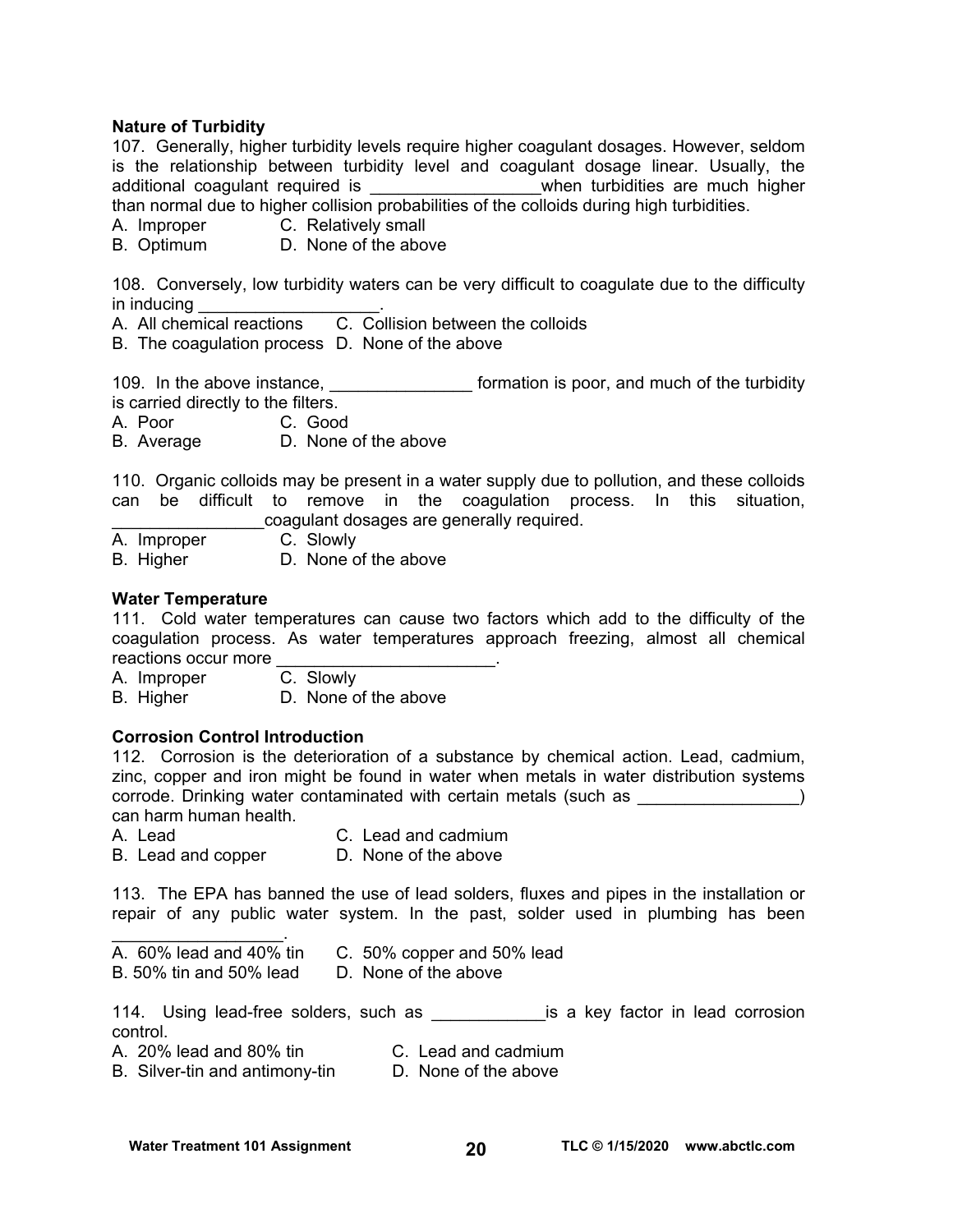#### **Nature of Turbidity**

107. Generally, higher turbidity levels require higher coagulant dosages. However, seldom is the relationship between turbidity level and coagulant dosage linear. Usually, the additional coagulant required is \_\_\_\_\_\_\_\_\_\_\_\_\_\_\_\_\_\_when turbidities are much higher than normal due to higher collision probabilities of the colloids during high turbidities.

A. Improper C. Relatively small

B. Optimum D. None of the above

108. Conversely, low turbidity waters can be very difficult to coagulate due to the difficulty in inducing

A. All chemical reactions C. Collision between the colloids

B. The coagulation process D. None of the above

109. In the above instance, \_\_\_\_\_\_\_\_\_\_\_\_\_\_\_\_\_\_\_ formation is poor, and much of the turbidity is carried directly to the filters.

A. Poor C. Good

B. Average D. None of the above

110. Organic colloids may be present in a water supply due to pollution, and these colloids can be difficult to remove in the coagulation process. In this situation, \_\_\_\_\_\_\_\_\_\_\_\_\_\_\_\_coagulant dosages are generally required.

A. Improper C. Slowly

B. Higher D. None of the above

#### **Water Temperature**

111. Cold water temperatures can cause two factors which add to the difficulty of the coagulation process. As water temperatures approach freezing, almost all chemical reactions occur more

A. Improper C. Slowly

B. Higher D. None of the above

#### **Corrosion Control Introduction**

112. Corrosion is the deterioration of a substance by chemical action. Lead, cadmium, zinc, copper and iron might be found in water when metals in water distribution systems corrode. Drinking water contaminated with certain metals (such as  $\qquad \qquad$ ) can harm human health.

- A. Lead C. Lead and cadmium
- B. Lead and copper D. None of the above

113. The EPA has banned the use of lead solders, fluxes and pipes in the installation or repair of any public water system. In the past, solder used in plumbing has been

 $\overline{A}$ . 60% lead and 40% tin C. 50% copper and 50% lead

B. 50% tin and 50% lead D. None of the above

114. Using lead-free solders, such as **which also example is a key factor in lead corrosion** control.

 $\mathcal{L}_\text{max}$  and  $\mathcal{L}_\text{max}$  and  $\mathcal{L}_\text{max}$ 

A. 20% lead and 80% tin C. Lead and cadmium<br>B. Silver-tin and antimony-tin D. None of the above B. Silver-tin and antimony-tin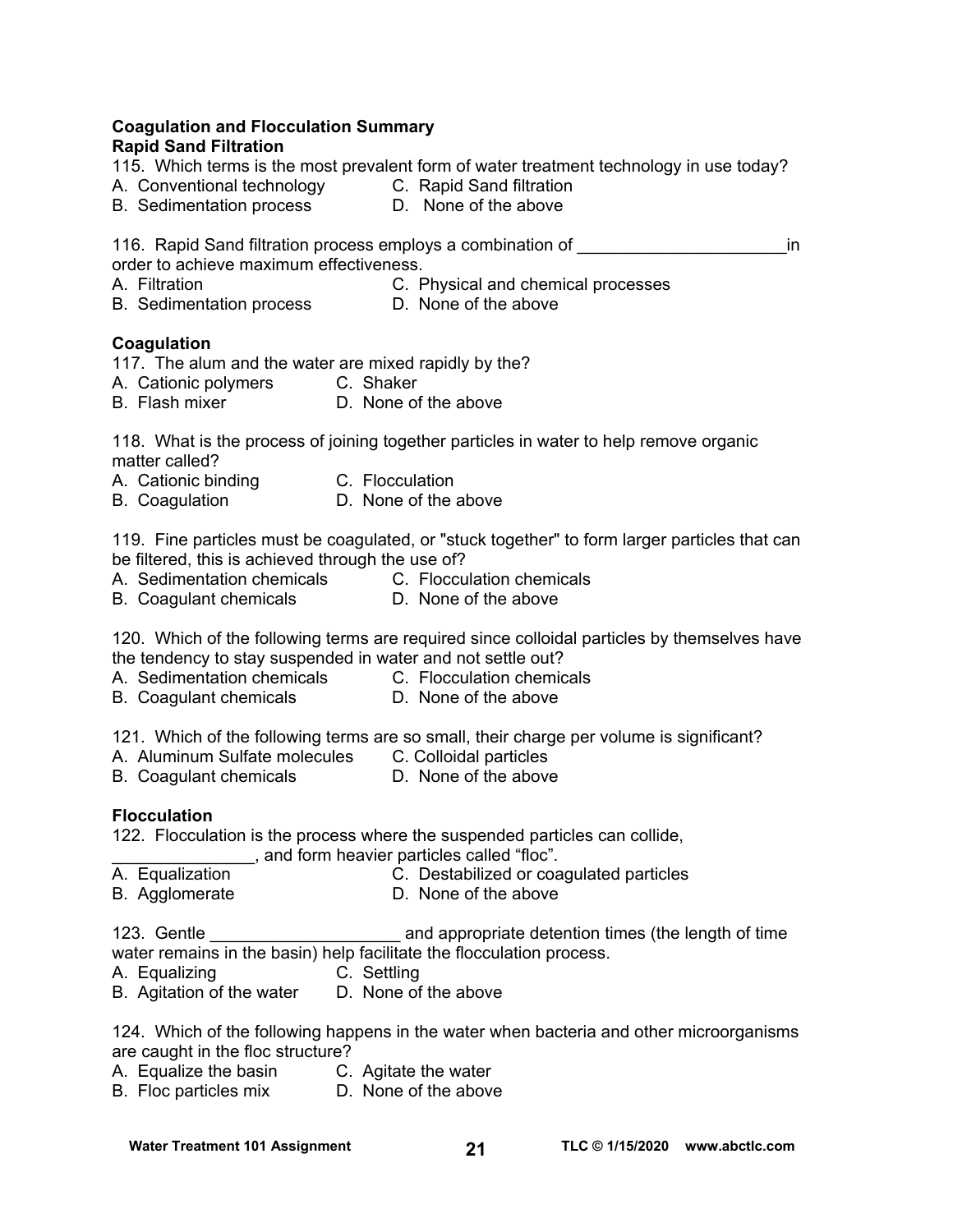# **Coagulation and Flocculation Summary**

## **Rapid Sand Filtration**

115. Which terms is the most prevalent form of water treatment technology in use today?

- A. Conventional technology C. Rapid Sand filtration
- B. Sedimentation process D. None of the above

116. Rapid Sand filtration process employs a combination of **Example 2** in order to achieve maximum effectiveness.

A. Filtration C. Physical and chemical processes

B. Sedimentation process D. None of the above

## **Coagulation**

117. The alum and the water are mixed rapidly by the?

- A. Cationic polymers C. Shaker
- B. Flash mixer **D. None of the above**

118. What is the process of joining together particles in water to help remove organic matter called?

- A. Cationic binding C. Flocculation
- B. Coagulation D. None of the above

119. Fine particles must be coagulated, or "stuck together" to form larger particles that can be filtered, this is achieved through the use of?

- A. Sedimentation chemicals C. Flocculation chemicals<br>B. Coaqulant chemicals D. None of the above
- B. Coagulant chemicals

120. Which of the following terms are required since colloidal particles by themselves have the tendency to stay suspended in water and not settle out?

- A. Sedimentation chemicals C. Flocculation chemicals
- B. Coagulant chemicals **D.** None of the above
	-

121. Which of the following terms are so small, their charge per volume is significant?

- A. Aluminum Sulfate molecules C. Colloidal particles
- B. Coagulant chemicals **D. None of the above**

## **Flocculation**

122. Flocculation is the process where the suspended particles can collide,

\_\_\_\_\_\_\_\_\_\_\_\_\_\_\_, and form heavier particles called "floc".

- A. Equalization C. Destabilized or coagulated particles
- B. Agglomerate D. None of the above

123. Gentle **123.** Gentle **123** and appropriate detention times (the length of time water remains in the basin) help facilitate the flocculation process.

- A. Equalizing C. Settling
- B. Agitation of the water D. None of the above

124. Which of the following happens in the water when bacteria and other microorganisms are caught in the floc structure?

- A. Equalize the basin C. Agitate the water
- B. Floc particles mix D. None of the above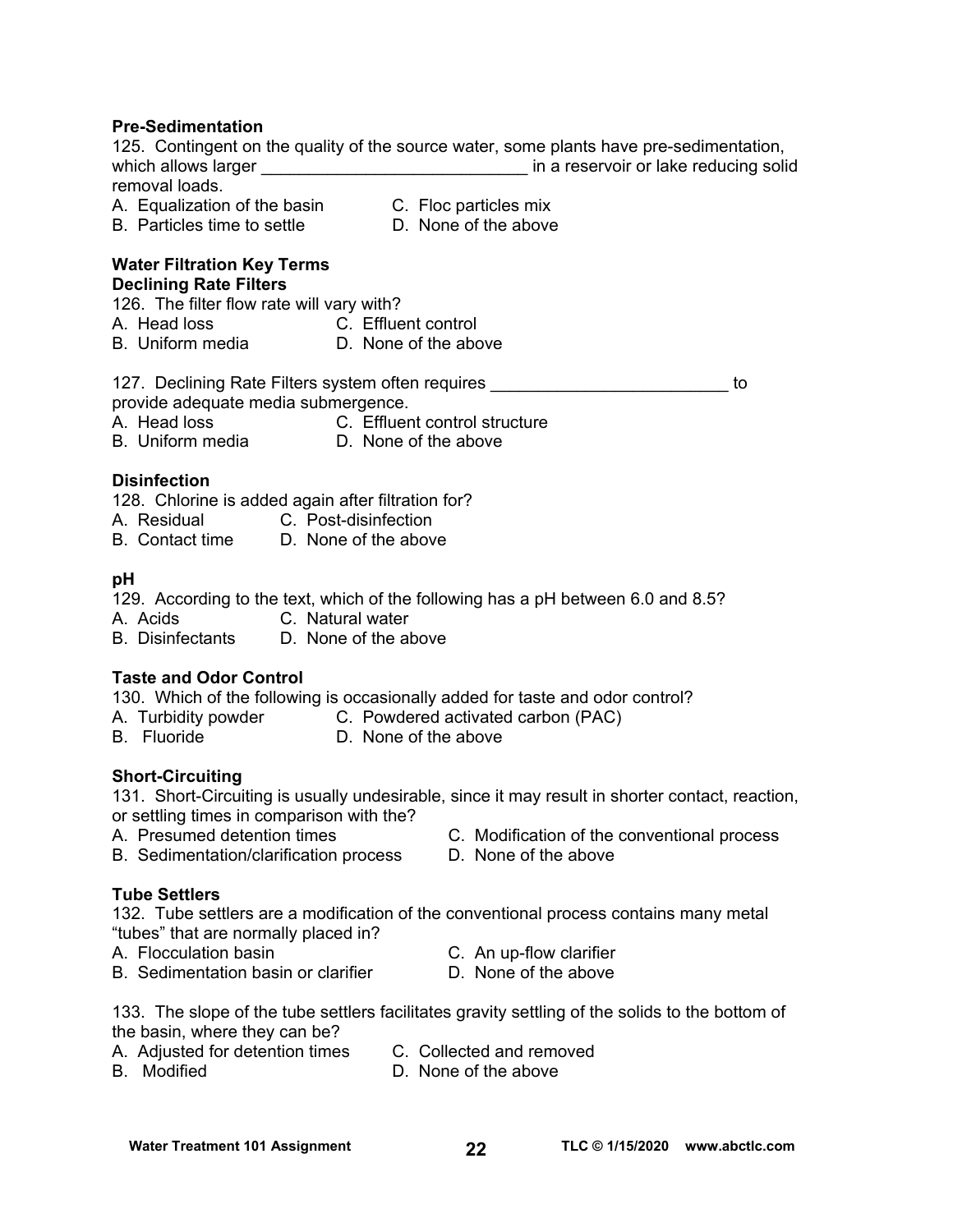#### **Pre-Sedimentation**

125. Contingent on the quality of the source water, some plants have pre-sedimentation, which allows larger \_\_\_\_\_\_\_\_\_\_\_\_\_\_\_\_\_\_\_\_\_\_\_\_\_\_\_\_\_\_\_\_\_\_ in a reservoir or lake reducing solid removal loads.

- 
- A. Equalization of the basin C. Floc particles mix<br>
B. Particles time to settle D. None of the above B. Particles time to settle
	-
- **Water Filtration Key Terms**

#### **Declining Rate Filters**

126. The filter flow rate will vary with?

- A. Head loss C. Effluent control
- B. Uniform media **D.** None of the above

# 127. Declining Rate Filters system often requires \_\_\_\_\_\_\_\_\_\_\_\_\_\_\_\_\_\_\_\_\_\_\_\_\_ to

provide adequate media submergence.

- A. Head loss C. Effluent control structure
- B. Uniform media D. None of the above
	-

# **Disinfection**

128. Chlorine is added again after filtration for?

- A. Residual C. Post-disinfection
- B. Contact time D. None of the above

## **pH**

129. According to the text, which of the following has a pH between 6.0 and 8.5?

- A. Acids C. Natural water
- B. Disinfectants D. None of the above

# **Taste and Odor Control**

130. Which of the following is occasionally added for taste and odor control?

- A. Turbidity powder **C. Powdered activated carbon (PAC)**
- B. Fluoride D. None of the above

# **Short-Circuiting**

131. Short-Circuiting is usually undesirable, since it may result in shorter contact, reaction, or settling times in comparison with the?

- 
- B. Sedimentation/clarification process D. None of the above
- A. Presumed detention times C. Modification of the conventional process
	-

# **Tube Settlers**

132. Tube settlers are a modification of the conventional process contains many metal "tubes" that are normally placed in?

- A. Flocculation basin C. An up-flow clarifier
	-
- B. Sedimentation basin or clarifier **D.** None of the above
- 
- 133. The slope of the tube settlers facilitates gravity settling of the solids to the bottom of the basin, where they can be?
- A. Adjusted for detention times C. Collected and removed<br>B. Modified **C. Collected and remove**
- 

D. None of the above

#### Water Treatment 101 Assignment **TLC © 1/15/2020** www.abctlc.com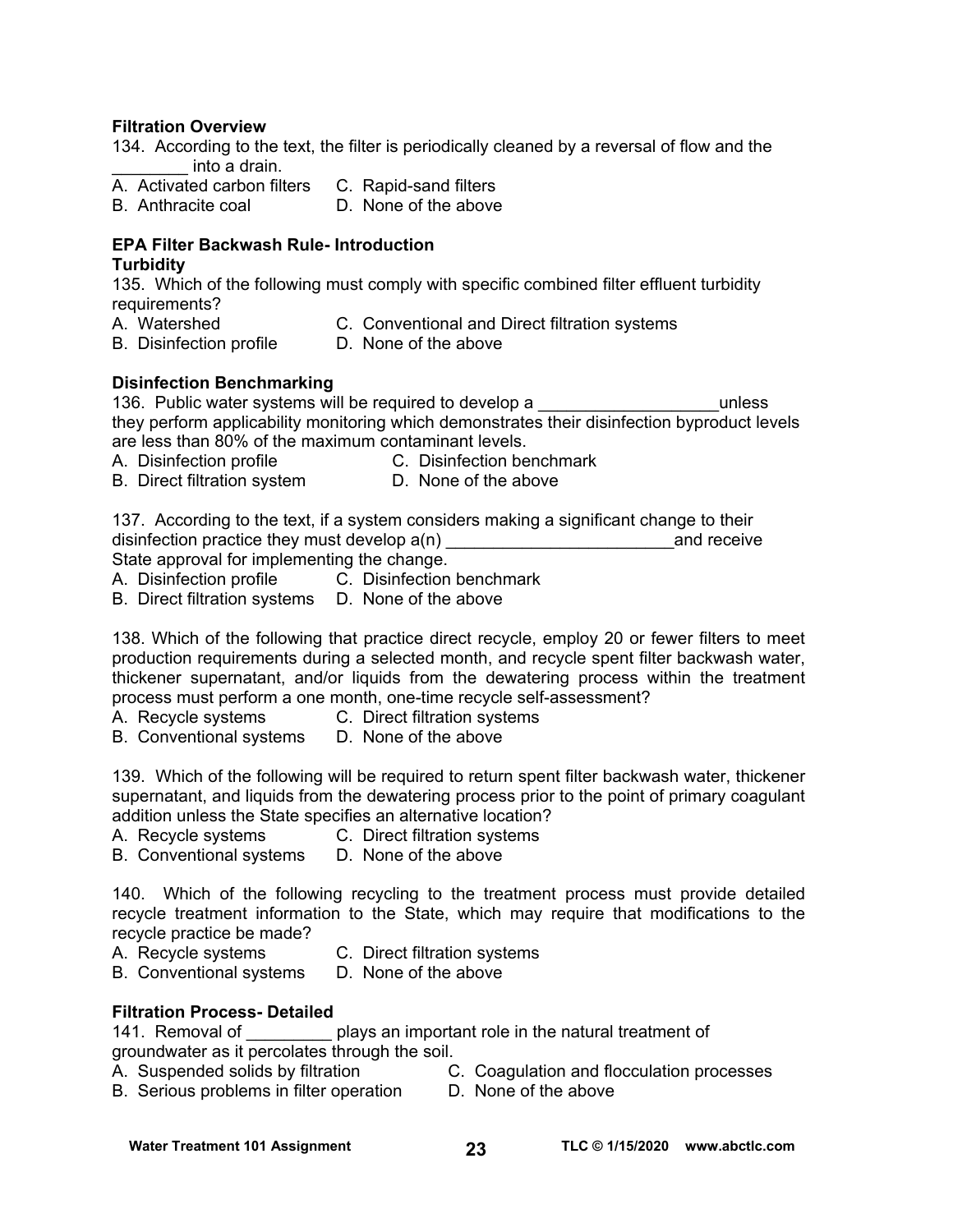### **Filtration Overview**

134. According to the text, the filter is periodically cleaned by a reversal of flow and the \_\_\_\_\_\_\_\_ into a drain.

- $\overline{A}$ . Activated carbon filters  $\overline{C}$ . Rapid-sand filters  $\overline{B}$  Anthracite coal
- D. None of the above

# **EPA Filter Backwash Rule- Introduction**

## **Turbidity**

135. Which of the following must comply with specific combined filter effluent turbidity requirements?

A. Watershed C. Conventional and Direct filtration systems

- B. Disinfection profile D. None of the above
- 

## **Disinfection Benchmarking**

136. Public water systems will be required to develop a **Theorem 2018** unless they perform applicability monitoring which demonstrates their disinfection byproduct levels are less than 80% of the maximum contaminant levels.

- A. Disinfection profile **C. Disinfection benchmark**
- B. Direct filtration system D. None of the above

137. According to the text, if a system considers making a significant change to their disinfection practice they must develop  $a(n)$  and receive State approval for implementing the change.

A. Disinfection profile C. Disinfection benchmark

B. Direct filtration systems D. None of the above

138. Which of the following that practice direct recycle, employ 20 or fewer filters to meet production requirements during a selected month, and recycle spent filter backwash water, thickener supernatant, and/or liquids from the dewatering process within the treatment process must perform a one month, one-time recycle self-assessment?

- A. Recycle systems C. Direct filtration systems
- B. Conventional systems D. None of the above

139. Which of the following will be required to return spent filter backwash water, thickener supernatant, and liquids from the dewatering process prior to the point of primary coagulant addition unless the State specifies an alternative location?

- A. Recycle systems C. Direct filtration systems
- B. Conventional systems D. None of the above

140. Which of the following recycling to the treatment process must provide detailed recycle treatment information to the State, which may require that modifications to the recycle practice be made?

- 
- A. Recycle systems C. Direct filtration systems
- B. Conventional systems D. None of the above

## **Filtration Process- Detailed**

141. Removal of <u>equal plays</u> an important role in the natural treatment of groundwater as it percolates through the soil.

- A. Suspended solids by filtration C. Coagulation and flocculation processes
- B. Serious problems in filter operation D. None of the above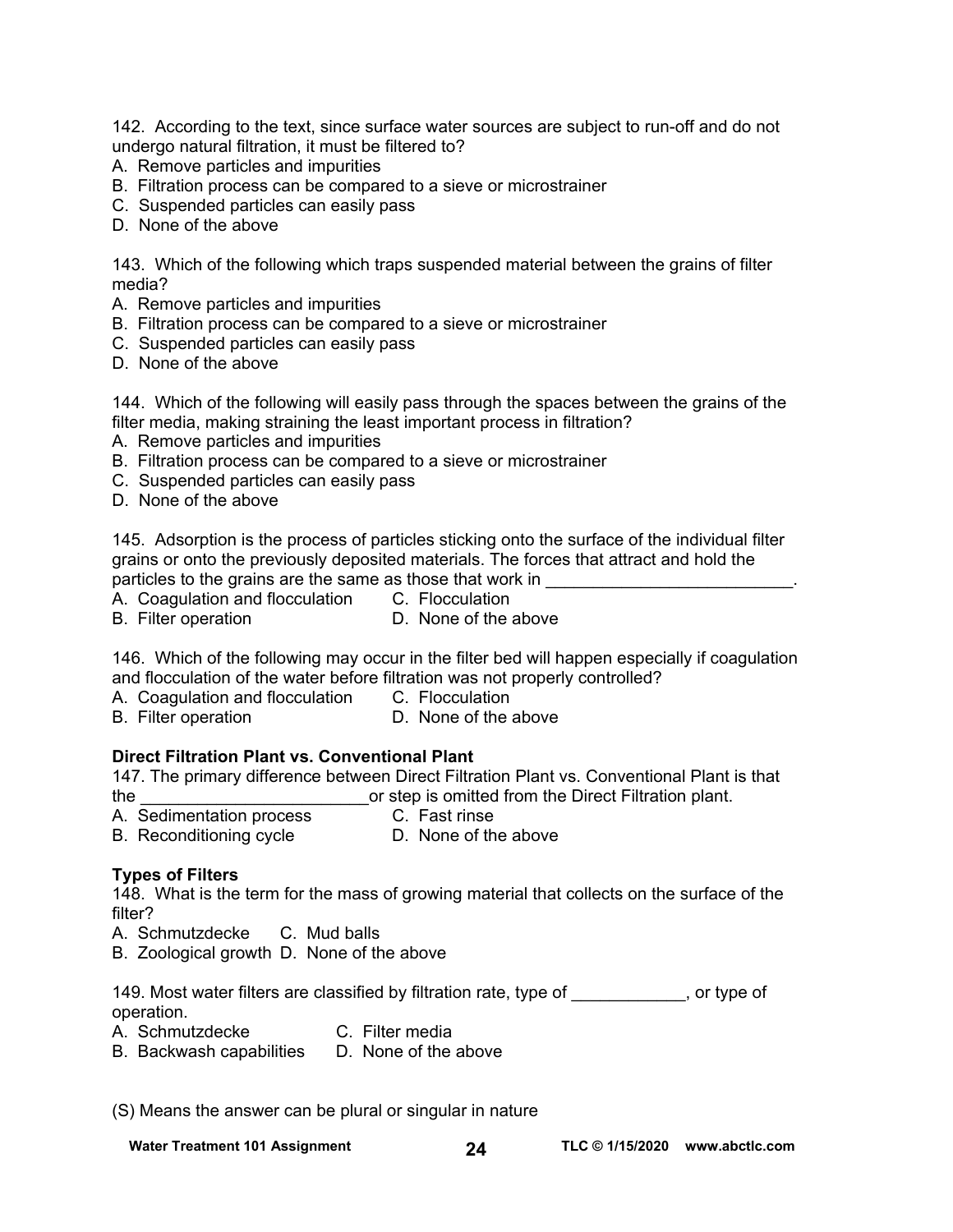142. According to the text, since surface water sources are subject to run-off and do not undergo natural filtration, it must be filtered to?

- A. Remove particles and impurities
- B. Filtration process can be compared to a sieve or microstrainer
- C. Suspended particles can easily pass
- D. None of the above

143. Which of the following which traps suspended material between the grains of filter media?

- A. Remove particles and impurities
- B. Filtration process can be compared to a sieve or microstrainer
- C. Suspended particles can easily pass
- D. None of the above

144. Which of the following will easily pass through the spaces between the grains of the filter media, making straining the least important process in filtration?

- A. Remove particles and impurities
- B. Filtration process can be compared to a sieve or microstrainer
- C. Suspended particles can easily pass
- D. None of the above

145. Adsorption is the process of particles sticking onto the surface of the individual filter grains or onto the previously deposited materials. The forces that attract and hold the particles to the grains are the same as those that work in

A. Coagulation and flocculation C. Flocculation

B. Filter operation **D.** None of the above

146. Which of the following may occur in the filter bed will happen especially if coagulation and flocculation of the water before filtration was not properly controlled?

- A. Coagulation and flocculation C. Flocculation
- B. Filter operation **D.** None of the above

#### **Direct Filtration Plant vs. Conventional Plant**

147. The primary difference between Direct Filtration Plant vs. Conventional Plant is that the \_\_\_\_\_\_\_\_\_\_\_\_\_\_\_\_\_\_\_\_\_\_\_\_or step is omitted from the Direct Filtration plant.

A. Sedimentation process C. Fast rinse

B. Reconditioning cycle **D.** None of the above

#### **Types of Filters**

148. What is the term for the mass of growing material that collects on the surface of the filter?

A. Schmutzdecke C. Mud balls

B. Zoological growth D. None of the above

149. Most water filters are classified by filtration rate, type of  $\hspace{1.5cm}$ , or type of operation.

A. Schmutzdecke C. Filter media

B. Backwash capabilities D. None of the above

(S) Means the answer can be plural or singular in nature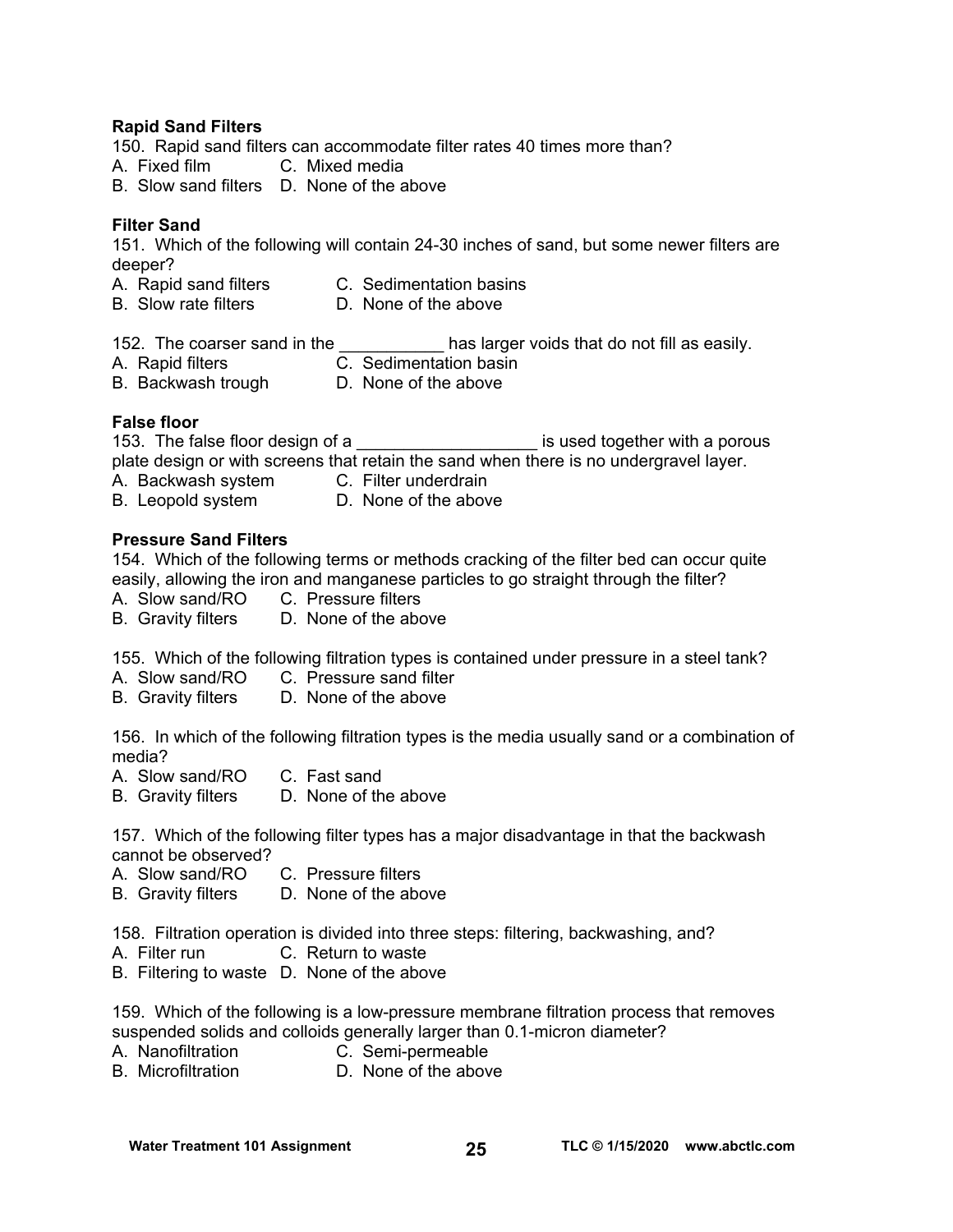## **Rapid Sand Filters**

150. Rapid sand filters can accommodate filter rates 40 times more than?

- A. Fixed film C. Mixed media
- B. Slow sand filters D. None of the above

## **Filter Sand**

151. Which of the following will contain 24-30 inches of sand, but some newer filters are deeper?

- A. Rapid sand filters C. Sedimentation basins
	-
- B. Slow rate filters **D.** None of the above

152. The coarser sand in the **the solution of the seasily.** As larger voids that do not fill as easily.

- A. Rapid filters C. Sedimentation basin
	-
- B. Backwash trough D. None of the above

#### **False floor**

153. The false floor design of a **the set of a set is used together with a porous** plate design or with screens that retain the sand when there is no undergravel layer.

- A. Backwash system C. Filter underdrain
- B. Leopold system D. None of the above

#### **Pressure Sand Filters**

154. Which of the following terms or methods cracking of the filter bed can occur quite easily, allowing the iron and manganese particles to go straight through the filter?

- A. Slow sand/RO C. Pressure filters
- B. Gravity filters D. None of the above

155. Which of the following filtration types is contained under pressure in a steel tank?

- A. Slow sand/RO C. Pressure sand filter
- B. Gravity filters D. None of the above

156. In which of the following filtration types is the media usually sand or a combination of media?

- 
- A. Slow sand/RO C. Fast sand<br>B. Gravity filters D. None of the above B. Gravity filters

157. Which of the following filter types has a major disadvantage in that the backwash cannot be observed?

- A. Slow sand/RO C. Pressure filters
- B. Gravity filters D. None of the above

158. Filtration operation is divided into three steps: filtering, backwashing, and?

- A. Filter run C. Return to waste
- B. Filtering to waste D. None of the above

159. Which of the following is a low-pressure membrane filtration process that removes suspended solids and colloids generally larger than 0.1-micron diameter?

- A. Nanofiltration **C.** Semi-permeable<br>
B. Microfiltration **D. None of the abov**
- D. None of the above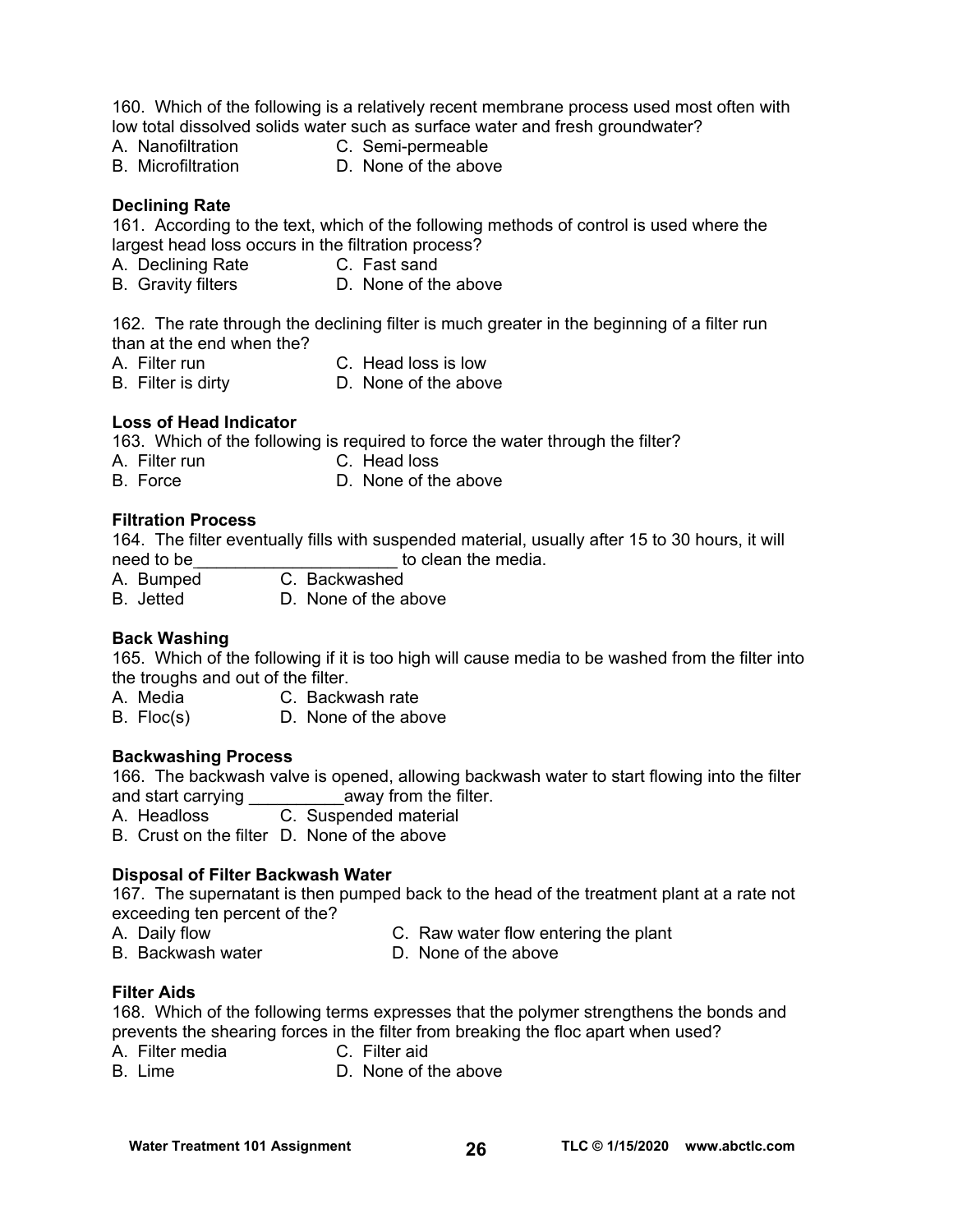160. Which of the following is a relatively recent membrane process used most often with low total dissolved solids water such as surface water and fresh groundwater?

- A. Nanofiltration C. Semi-permeable
- B. Microfiltration D. None of the above

### **Declining Rate**

161. According to the text, which of the following methods of control is used where the largest head loss occurs in the filtration process?

- A. Declining Rate C. Fast sand
- B. Gravity filters D. None of the above

162. The rate through the declining filter is much greater in the beginning of a filter run than at the end when the?

- A. Filter run C. Head loss is low
- B. Filter is dirty D. None of the above
- 

#### **Loss of Head Indicator**

163. Which of the following is required to force the water through the filter?

- A. Filter run C. Head loss<br>B. Force D. None of th
- D. None of the above

#### **Filtration Process**

164. The filter eventually fills with suspended material, usually after 15 to 30 hours, it will need to be **the contract of the media.** The media.

- A. Bumped C. Backwashed
- B. Jetted D. None of the above

#### **Back Washing**

165. Which of the following if it is too high will cause media to be washed from the filter into the troughs and out of the filter.

A. Media C. Backwash rate

B. Floc(s) D. None of the above

#### **Backwashing Process**

166. The backwash valve is opened, allowing backwash water to start flowing into the filter and start carrying \_\_\_\_\_\_\_\_\_\_\_\_\_away from the filter.

A. Headloss C. Suspended material

B. Crust on the filter D. None of the above

#### **Disposal of Filter Backwash Water**

167. The supernatant is then pumped back to the head of the treatment plant at a rate not exceeding ten percent of the?

- A. Daily flow C. Raw water flow entering the plant
- B. Backwash water **D. None of the above**
- 

#### **Filter Aids**

168. Which of the following terms expresses that the polymer strengthens the bonds and prevents the shearing forces in the filter from breaking the floc apart when used?

- A. Filter media C. Filter aid
- B. Lime D. None of the above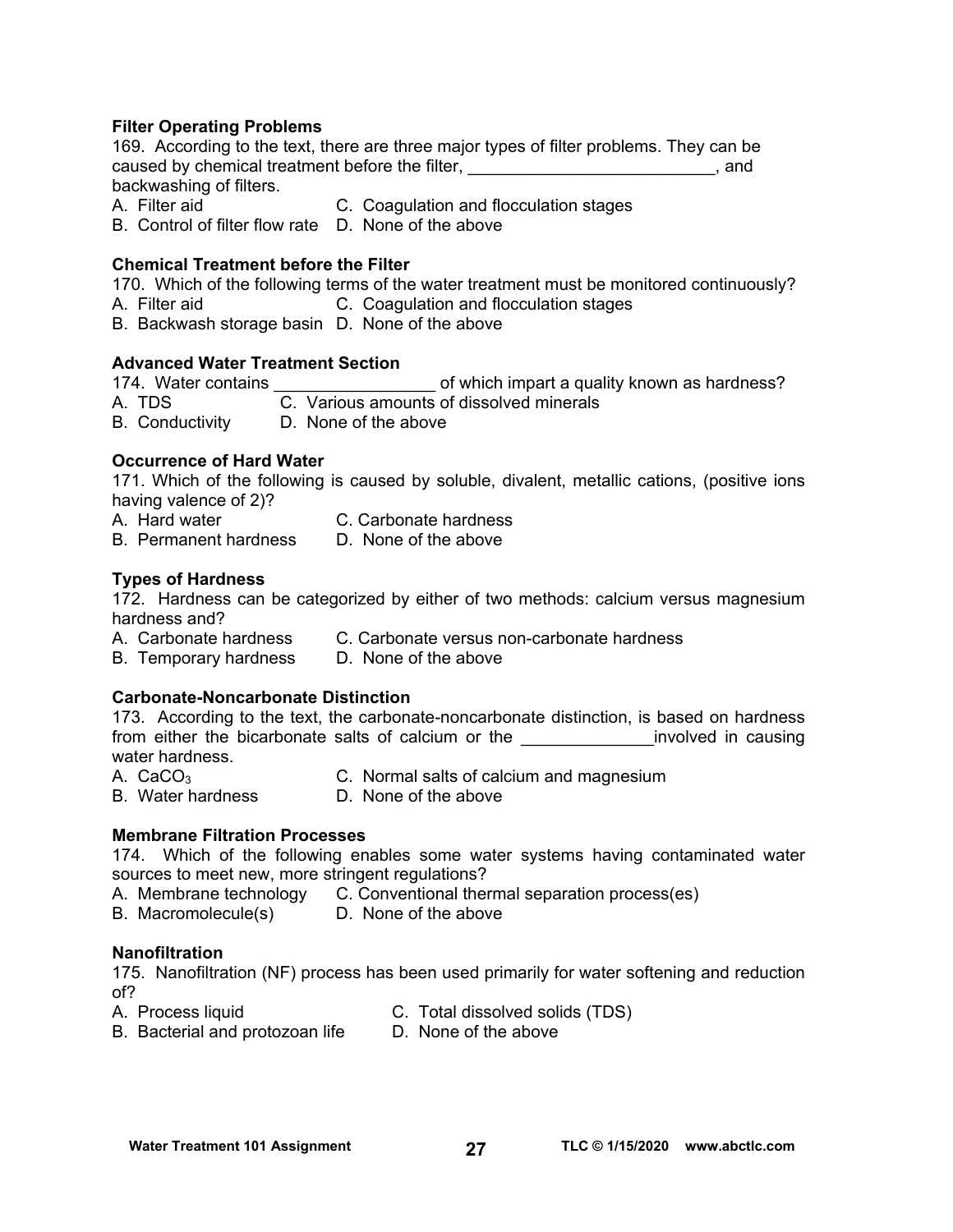#### **Filter Operating Problems**

169. According to the text, there are three major types of filter problems. They can be caused by chemical treatment before the filter, \_\_\_\_\_\_\_\_\_\_\_\_\_\_\_\_\_\_\_\_\_\_\_\_\_\_\_\_, and backwashing of filters.

- A. Filter aid C. Coagulation and flocculation stages
- B. Control of filter flow rate D. None of the above

## **Chemical Treatment before the Filter**

170. Which of the following terms of the water treatment must be monitored continuously?

- A. Filter aid **C. Coagulation and flocculation stages**
- B. Backwash storage basin D. None of the above

## **Advanced Water Treatment Section**

174. Water contains **174.** Water contains **174** of which impart a quality known as hardness? A. TDS C. Various amounts of dissolved minerals B. Conductivity D. None of the above

#### **Occurrence of Hard Water**

171. Which of the following is caused by soluble, divalent, metallic cations, (positive ions having valence of 2)?

| A. Hard water | C. Carbonate hardness                          |
|---------------|------------------------------------------------|
| .             | $\mathbf{r}$ and $\mathbf{r}$ and $\mathbf{r}$ |

B. Permanent hardness D. None of the above

## **Types of Hardness**

172. Hardness can be categorized by either of two methods: calcium versus magnesium hardness and?

- A. Carbonate hardness C. Carbonate versus non-carbonate hardness
- B. Temporary hardness D. None of the above

## **Carbonate-Noncarbonate Distinction**

173. According to the text, the carbonate-noncarbonate distinction, is based on hardness from either the bicarbonate salts of calcium or the **Example 20** involved in causing water hardness.

- A. CaCO3 C. Normal salts of calcium and magnesium
- 
- B. Water hardness **D. None of the above**

## **Membrane Filtration Processes**

174. Which of the following enables some water systems having contaminated water sources to meet new, more stringent regulations?

- A. Membrane technology C. Conventional thermal separation process(es)
- B. Macromolecule(s) D. None of the above

#### **Nanofiltration**

175. Nanofiltration (NF) process has been used primarily for water softening and reduction of?

- A. Process liquid C. Total dissolved solids (TDS)
- B. Bacterial and protozoan life D. None of the above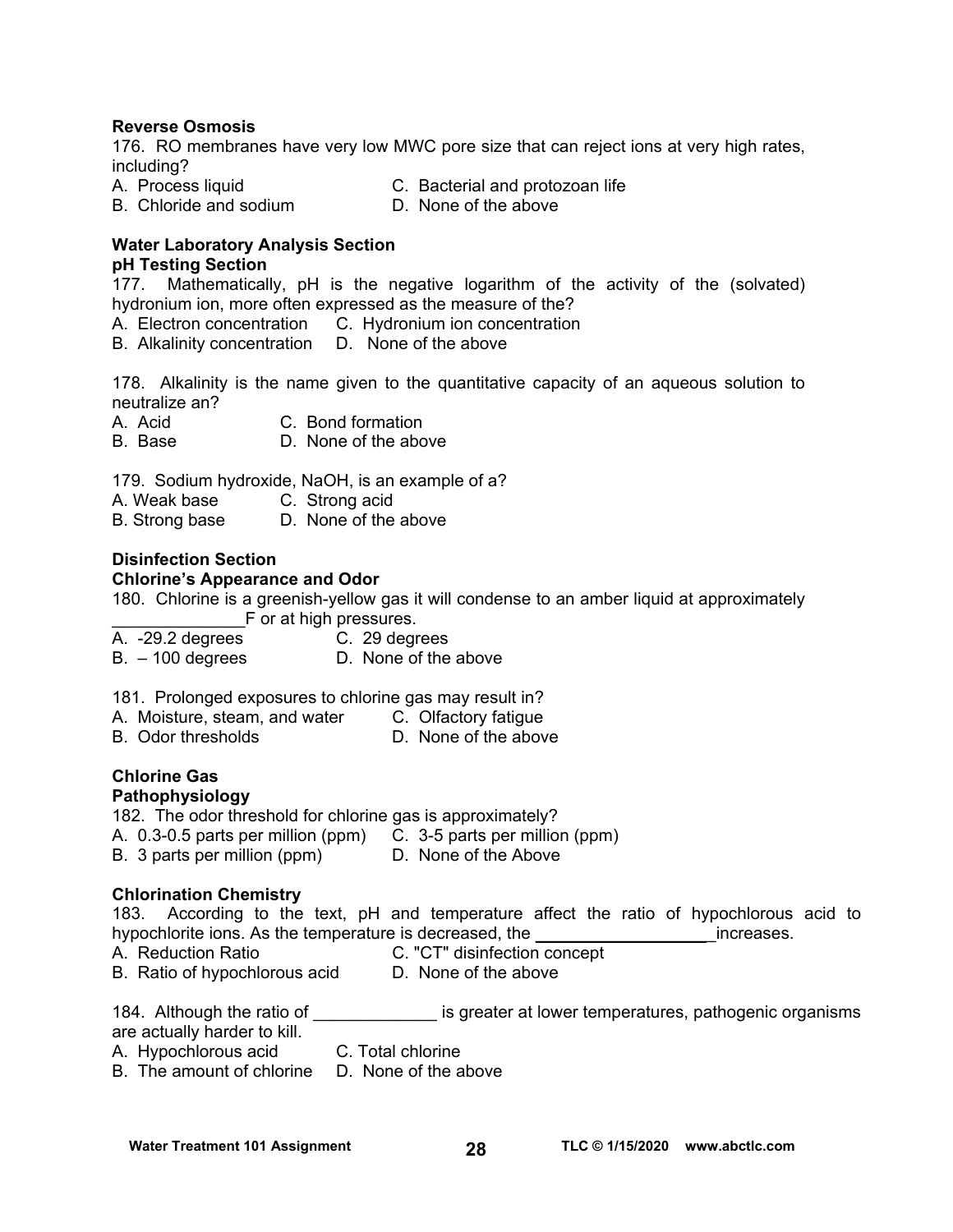### **Reverse Osmosis**

176. RO membranes have very low MWC pore size that can reject ions at very high rates, including?

A. Process liquid C. Bacterial and protozoan life

B. Chloride and sodium D. None of the above

#### **Water Laboratory Analysis Section pH Testing Section**

177. Mathematically, pH is the negative logarithm of the activity of the (solvated) hydronium ion, more often expressed as the measure of the?

A. Electron concentration C. Hydronium ion concentration

B. Alkalinity concentration D. None of the above

178. Alkalinity is the name given to the quantitative capacity of an aqueous solution to neutralize an?

A. Acid C. Bond formation

B. Base D. None of the above

179. Sodium hydroxide, NaOH, is an example of a?

A. Weak base C. Strong acid

B. Strong base D. None of the above

#### **Disinfection Section**

#### **Chlorine's Appearance and Odor**

180. Chlorine is a greenish-yellow gas it will condense to an amber liquid at approximately F or at high pressures.

- A. -29.2 degrees C. 29 degrees
- B. 100 degrees D. None of the above

181. Prolonged exposures to chlorine gas may result in?

- A. Moisture, steam, and water C. Olfactory fatigue
- B. Odor thresholds **D.** None of the above

## **Chlorine Gas**

## **Pathophysiology**

- 182. The odor threshold for chlorine gas is approximately?
- A. 0.3-0.5 parts per million (ppm) C. 3-5 parts per million (ppm)
- B. 3 parts per million (ppm) D. None of the Above

#### **Chlorination Chemistry**

183. According to the text, pH and temperature affect the ratio of hypochlorous acid to hypochlorite ions. As the temperature is decreased, the the temperature is determined as the streamers.

- 
- A. Reduction Ratio C. "CT" disinfection concept
- B. Ratio of hypochlorous acid D. None of the above

184. Although the ratio of \_\_\_\_\_\_\_\_\_\_\_\_\_\_\_ is greater at lower temperatures, pathogenic organisms are actually harder to kill.

- A. Hypochlorous acid C. Total chlorine
- B. The amount of chlorine D. None of the above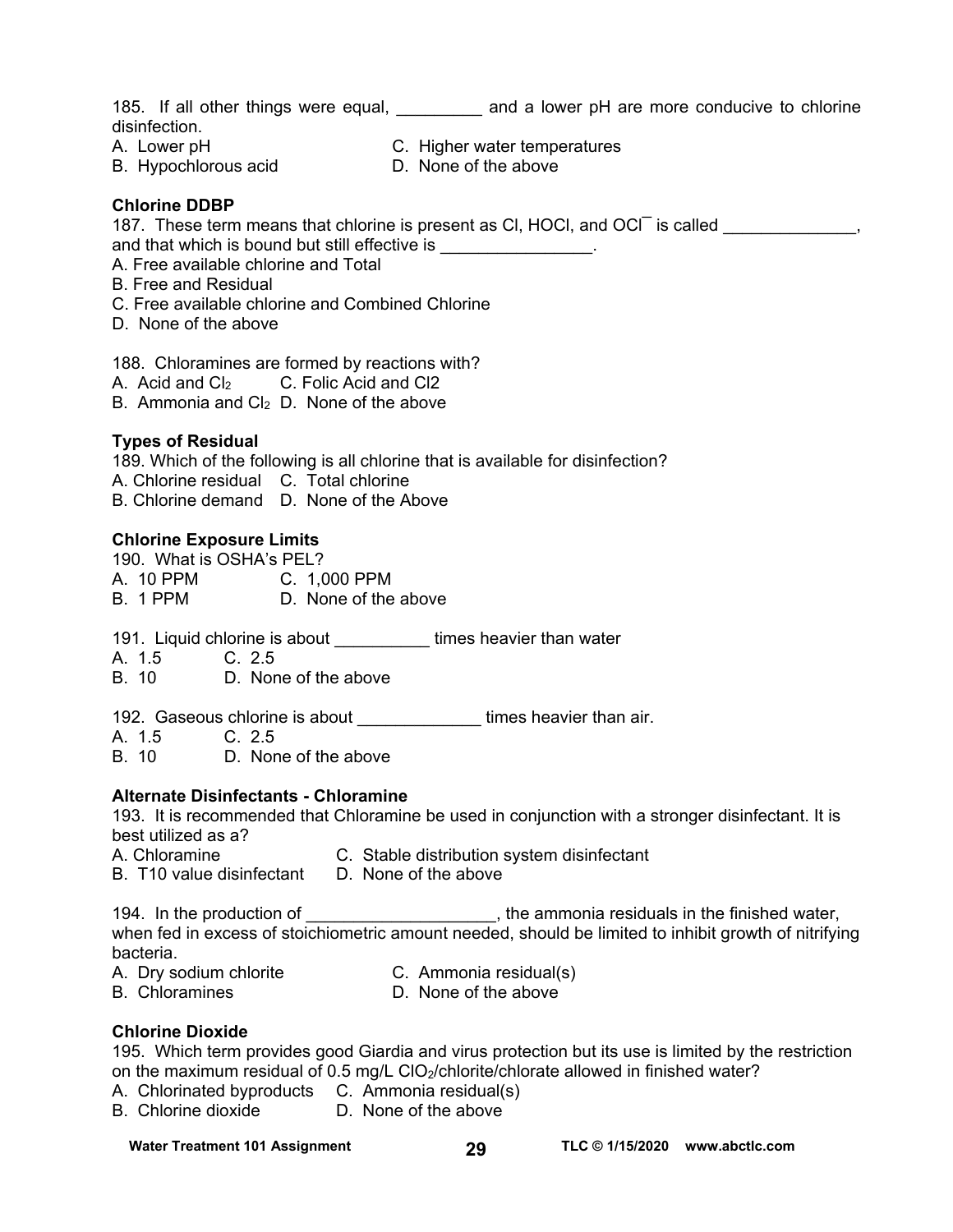185. If all other things were equal, \_\_\_\_\_\_\_\_\_ and a lower pH are more conducive to chlorine disinfection. A. Lower pH C. Higher water temperatures

- 
- 
- B. Hypochlorous acid D. None of the above

### **Chlorine DDBP**

187. These term means that chlorine is present as CI, HOCI, and OCI is called  $\sim$ 

and that which is bound but still effective is

- A. Free available chlorine and Total
- B. Free and Residual
- C. Free available chlorine and Combined Chlorine
- D. None of the above

188. Chloramines are formed by reactions with?

A. Acid and Cl<sub>2</sub> C. Folic Acid and Cl2

B. Ammonia and  $Cl<sub>2</sub>$  D. None of the above

#### **Types of Residual**

189. Which of the following is all chlorine that is available for disinfection? A. Chlorine residual C. Total chlorine

B. Chlorine demand D. None of the Above

## **Chlorine Exposure Limits**

190. What is OSHA's PEL? A. 10 PPM C. 1,000 PPM B. 1 PPM D. None of the above

191. Liquid chlorine is about **times heavier than water** 

A. 1.5 C. 2.5

B. 10 D. None of the above

192. Gaseous chlorine is about **the state of the seavier than air.** 

A. 1.5 C. 2.5

B. 10 D. None of the above

## **Alternate Disinfectants - Chloramine**

193. It is recommended that Chloramine be used in conjunction with a stronger disinfectant. It is best utilized as a?

- A. Chloramine C. Stable distribution system disinfectant
- B. T10 value disinfectant D. None of the above

194. In the production of  $\qquad \qquad$  , the ammonia residuals in the finished water, when fed in excess of stoichiometric amount needed, should be limited to inhibit growth of nitrifying bacteria.

- A. Dry sodium chlorite C. Ammonia residual(s)
- B. Chloramines D. None of the above

## **Chlorine Dioxide**

195. Which term provides good Giardia and virus protection but its use is limited by the restriction on the maximum residual of 0.5 mg/L CIO<sub>2</sub>/chlorite/chlorate allowed in finished water?

- A. Chlorinated byproducts C. Ammonia residual(s)
- B. Chlorine dioxide D. None of the above